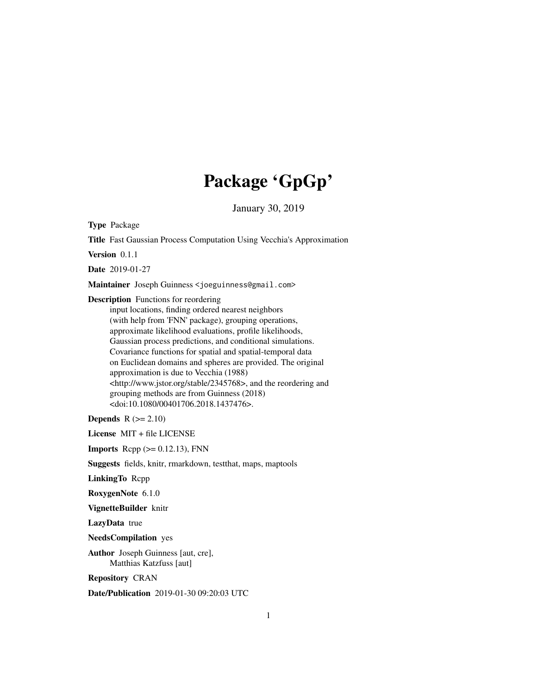# Package 'GpGp'

January 30, 2019

Type Package

Title Fast Gaussian Process Computation Using Vecchia's Approximation

Version 0.1.1

Date 2019-01-27

Maintainer Joseph Guinness <joeguinness@gmail.com>

Description Functions for reordering

input locations, finding ordered nearest neighbors (with help from 'FNN' package), grouping operations, approximate likelihood evaluations, profile likelihoods, Gaussian process predictions, and conditional simulations. Covariance functions for spatial and spatial-temporal data on Euclidean domains and spheres are provided. The original approximation is due to Vecchia (1988) <http://www.jstor.org/stable/2345768>, and the reordering and grouping methods are from Guinness (2018) <doi:10.1080/00401706.2018.1437476>.

Depends  $R (= 2.10)$ 

License MIT + file LICENSE

**Imports** Rcpp  $(>= 0.12.13)$ , FNN

Suggests fields, knitr, rmarkdown, testthat, maps, maptools

LinkingTo Rcpp

RoxygenNote 6.1.0

VignetteBuilder knitr

LazyData true

NeedsCompilation yes

Author Joseph Guinness [aut, cre], Matthias Katzfuss [aut]

Repository CRAN

Date/Publication 2019-01-30 09:20:03 UTC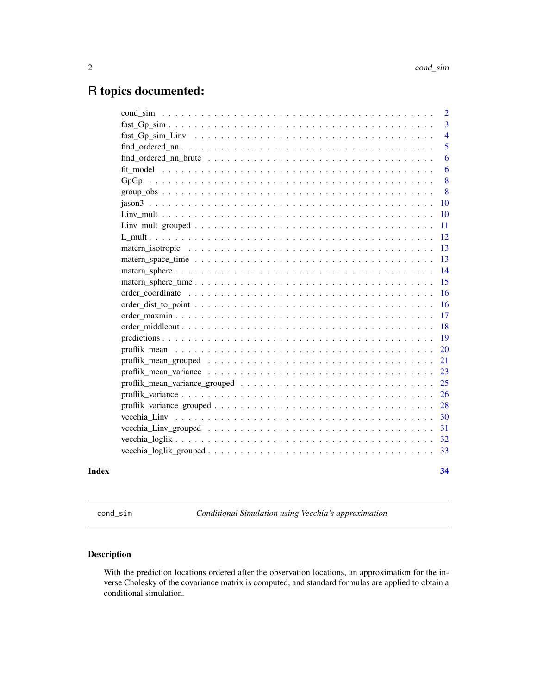## <span id="page-1-0"></span>R topics documented:

|       |                                                                                                           | $\overline{2}$ |
|-------|-----------------------------------------------------------------------------------------------------------|----------------|
|       | $fast_Gp\_sim \ldots \ldots \ldots \ldots \ldots \ldots \ldots \ldots \ldots \ldots \ldots \ldots \ldots$ | 3              |
|       |                                                                                                           | $\overline{4}$ |
|       |                                                                                                           | 5              |
|       |                                                                                                           | 6              |
|       |                                                                                                           | 6              |
|       |                                                                                                           | 8              |
|       |                                                                                                           | -8             |
|       |                                                                                                           | <b>10</b>      |
|       |                                                                                                           | 10             |
|       |                                                                                                           | <sup>11</sup>  |
|       |                                                                                                           | 12             |
|       |                                                                                                           | 13             |
|       |                                                                                                           | 13             |
|       |                                                                                                           | 14             |
|       |                                                                                                           | 15             |
|       |                                                                                                           | 16             |
|       |                                                                                                           | 16             |
|       |                                                                                                           | 17             |
|       |                                                                                                           | 18             |
|       |                                                                                                           | 19             |
|       |                                                                                                           | 20             |
|       |                                                                                                           | 21             |
|       |                                                                                                           | 23             |
|       |                                                                                                           | 25             |
|       |                                                                                                           | 26             |
|       |                                                                                                           | 28             |
|       |                                                                                                           | 30             |
|       |                                                                                                           | 31             |
|       |                                                                                                           |                |
|       |                                                                                                           |                |
| Index |                                                                                                           | 34             |

cond\_sim *Conditional Simulation using Vecchia's approximation*

## Description

With the prediction locations ordered after the observation locations, an approximation for the inverse Cholesky of the covariance matrix is computed, and standard formulas are applied to obtain a conditional simulation.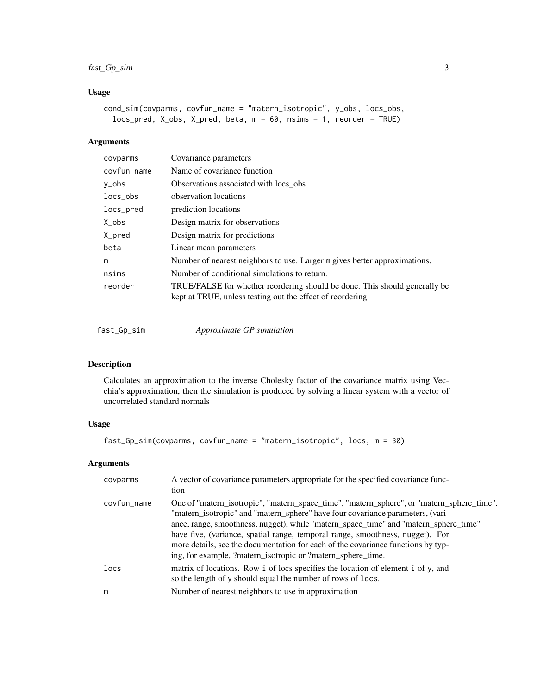#### <span id="page-2-0"></span>fast\_Gp\_sim 3

#### Usage

```
cond_sim(covparms, covfun_name = "matern_isotropic", y_obs, locs_obs,
  locs_pred, X_obs, X_pred, beta, m = 60, nsims = 1, reorder = TRUE)
```
#### Arguments

| covparms    | Covariance parameters                                                                                                                    |
|-------------|------------------------------------------------------------------------------------------------------------------------------------------|
| covfun_name | Name of covariance function                                                                                                              |
| y_obs       | Observations associated with locs obs.                                                                                                   |
| locs obs    | observation locations                                                                                                                    |
| locs_pred   | prediction locations                                                                                                                     |
| $Xo$ bs     | Design matrix for observations                                                                                                           |
| X_pred      | Design matrix for predictions                                                                                                            |
| beta        | Linear mean parameters                                                                                                                   |
| m           | Number of nearest neighbors to use. Larger m gives better approximations.                                                                |
| nsims       | Number of conditional simulations to return.                                                                                             |
| reorder     | TRUE/FALSE for whether reordering should be done. This should generally be<br>kept at TRUE, unless testing out the effect of reordering. |

fast\_Gp\_sim *Approximate GP simulation*

#### Description

Calculates an approximation to the inverse Cholesky factor of the covariance matrix using Vecchia's approximation, then the simulation is produced by solving a linear system with a vector of uncorrelated standard normals

## Usage

```
fast_Gp_sim(covparms, covfun_name = "matern_isotropic", locs, m = 30)
```
#### Arguments

| covparms    | A vector of covariance parameters appropriate for the specified covariance func-<br>tion                                                                                                                                                                                                                                                                                                                                                                                                                |
|-------------|---------------------------------------------------------------------------------------------------------------------------------------------------------------------------------------------------------------------------------------------------------------------------------------------------------------------------------------------------------------------------------------------------------------------------------------------------------------------------------------------------------|
| covfun_name | One of "matern_isotropic", "matern_space_time", "matern_sphere", or "matern_sphere_time".<br>"matern_isotropic" and "matern_sphere" have four covariance parameters, (vari-<br>ance, range, smoothness, nugget), while "matern_space_time" and "matern_sphere_time"<br>have five, (variance, spatial range, temporal range, smoothness, nugget). For<br>more details, see the documentation for each of the covariance functions by typ-<br>ing, for example, ?matern_isotropic or ?matern_sphere_time. |
| locs        | matrix of locations. Row i of locs specifies the location of element i of y, and<br>so the length of y should equal the number of rows of locs.                                                                                                                                                                                                                                                                                                                                                         |
| m           | Number of nearest neighbors to use in approximation                                                                                                                                                                                                                                                                                                                                                                                                                                                     |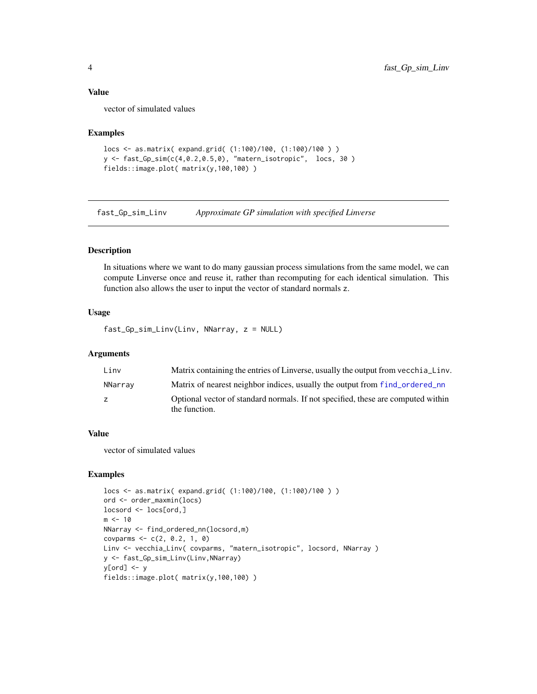#### <span id="page-3-0"></span>Value

vector of simulated values

#### Examples

```
locs <- as.matrix( expand.grid( (1:100)/100, (1:100)/100 ) )
y <- fast_Gp_sim(c(4,0.2,0.5,0), "matern_isotropic", locs, 30 )
fields::image.plot( matrix(y,100,100) )
```
fast\_Gp\_sim\_Linv *Approximate GP simulation with specified Linverse*

#### Description

In situations where we want to do many gaussian process simulations from the same model, we can compute Linverse once and reuse it, rather than recomputing for each identical simulation. This function also allows the user to input the vector of standard normals z.

#### Usage

fast\_Gp\_sim\_Linv(Linv, NNarray, z = NULL)

#### Arguments

| Linv    | Matrix containing the entries of Linverse, usually the output from vecchia Linv.                  |
|---------|---------------------------------------------------------------------------------------------------|
| NNarray | Matrix of nearest neighbor indices, usually the output from f ind_ordered_nn                      |
| Z.      | Optional vector of standard normals. If not specified, these are computed within<br>the function. |

#### Value

vector of simulated values

```
locs <- as.matrix( expand.grid( (1:100)/100, (1:100)/100 ) )
ord <- order_maxmin(locs)
locsord <- locs[ord,]
m < -10NNarray <- find_ordered_nn(locsord,m)
covparms <- c(2, 0.2, 1, 0)
Linv <- vecchia_Linv( covparms, "matern_isotropic", locsord, NNarray )
y <- fast_Gp_sim_Linv(Linv,NNarray)
y[ord] <- y
fields::image.plot( matrix(y,100,100) )
```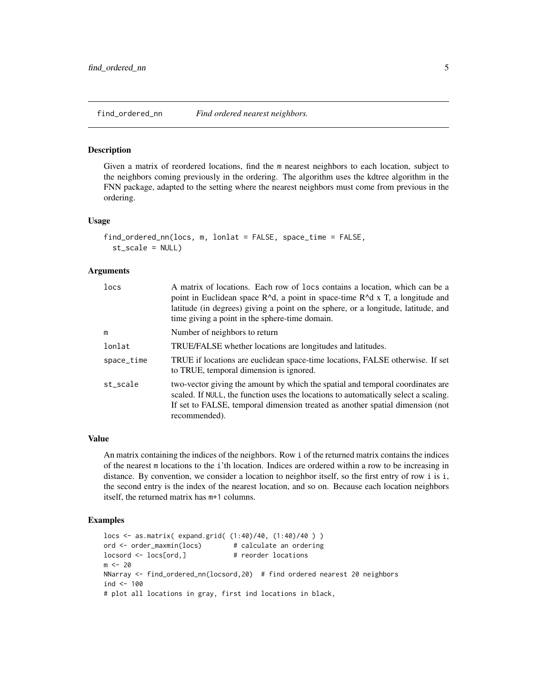<span id="page-4-1"></span><span id="page-4-0"></span>

#### **Description**

Given a matrix of reordered locations, find the m nearest neighbors to each location, subject to the neighbors coming previously in the ordering. The algorithm uses the kdtree algorithm in the FNN package, adapted to the setting where the nearest neighbors must come from previous in the ordering.

#### Usage

```
find_ordered_nn(locs, m, lonlat = FALSE, space_time = FALSE,
  st_scale = NULL)
```
#### Arguments

| locs       | A matrix of locations. Each row of locs contains a location, which can be a<br>point in Euclidean space R^d, a point in space-time R^d x T, a longitude and<br>latitude (in degrees) giving a point on the sphere, or a longitude, latitude, and<br>time giving a point in the sphere-time domain. |
|------------|----------------------------------------------------------------------------------------------------------------------------------------------------------------------------------------------------------------------------------------------------------------------------------------------------|
| m          | Number of neighbors to return                                                                                                                                                                                                                                                                      |
| lonlat     | TRUE/FALSE whether locations are longitudes and latitudes.                                                                                                                                                                                                                                         |
| space_time | TRUE if locations are euclidean space-time locations, FALSE otherwise. If set<br>to TRUE, temporal dimension is ignored.                                                                                                                                                                           |
| st_scale   | two-vector giving the amount by which the spatial and temporal coordinates are<br>scaled. If NULL, the function uses the locations to automatically select a scaling.<br>If set to FALSE, temporal dimension treated as another spatial dimension (not<br>recommended).                            |

#### Value

An matrix containing the indices of the neighbors. Row i of the returned matrix contains the indices of the nearest m locations to the i'th location. Indices are ordered within a row to be increasing in distance. By convention, we consider a location to neighbor itself, so the first entry of row i is i, the second entry is the index of the nearest location, and so on. Because each location neighbors itself, the returned matrix has m+1 columns.

```
locs <- as.matrix( expand.grid( (1:40)/40, (1:40)/40 ) )
ord <- order_maxmin(locs) # calculate an ordering
locsord <- locs[ord,] # reorder locations
m < - 20NNarray <- find_ordered_nn(locsord,20) # find ordered nearest 20 neighbors
ind <-100# plot all locations in gray, first ind locations in black,
```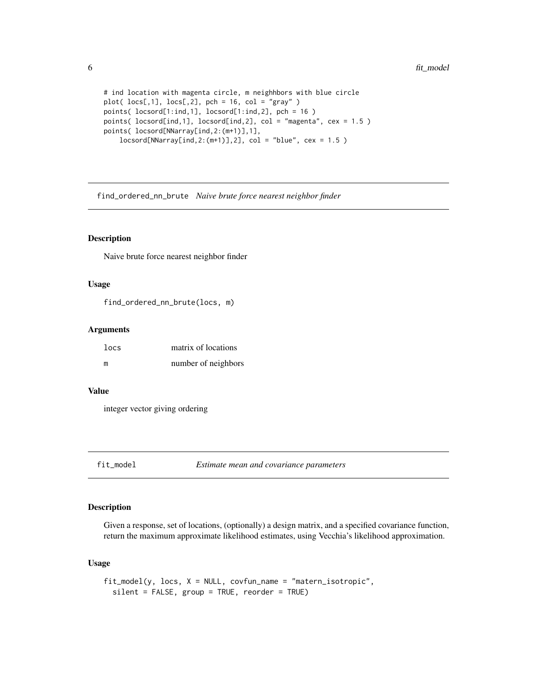```
# ind location with magenta circle, m neighhbors with blue circle
plot( \text{locs[,1], \text{locs[,2],} pch = 16, col = "gray" )
points( locsord[1:ind,1], locsord[1:ind,2], pch = 16 )
points( locsord[ind,1], locsord[ind,2], col = "magenta", cex = 1.5 )
points( locsord[NNarray[ind,2:(m+1)],1],
    locsord[NNarray[ind,2:(m+1)],2], col = "blue", cex = 1.5)
```
find\_ordered\_nn\_brute *Naive brute force nearest neighbor finder*

#### Description

Naive brute force nearest neighbor finder

#### Usage

find\_ordered\_nn\_brute(locs, m)

#### Arguments

| locs | matrix of locations |
|------|---------------------|
| m    | number of neighbors |

#### Value

integer vector giving ordering

#### Description

Given a response, set of locations, (optionally) a design matrix, and a specified covariance function, return the maximum approximate likelihood estimates, using Vecchia's likelihood approximation.

#### Usage

```
fit_model(y, locs, X = NULL, covfun_name = "matern_isotropic",
  silent = FALSE, group = TRUE, reorder = TRUE)
```
<span id="page-5-0"></span>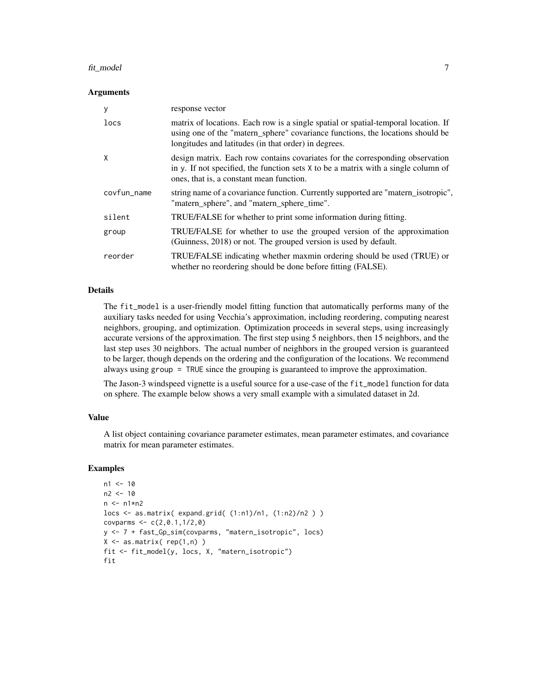#### fit\_model 7

#### Arguments

| y           | response vector                                                                                                                                                                                                              |
|-------------|------------------------------------------------------------------------------------------------------------------------------------------------------------------------------------------------------------------------------|
| locs        | matrix of locations. Each row is a single spatial or spatial-temporal location. If<br>using one of the "matern_sphere" covariance functions, the locations should be<br>longitudes and latitudes (in that order) in degrees. |
| X           | design matrix. Each row contains covariates for the corresponding observation<br>in y. If not specified, the function sets $X$ to be a matrix with a single column of<br>ones, that is, a constant mean function.            |
| covfun_name | string name of a covariance function. Currently supported are "matern_isotropic",<br>"matern_sphere", and "matern_sphere_time".                                                                                              |
| silent      | TRUE/FALSE for whether to print some information during fitting.                                                                                                                                                             |
| group       | TRUE/FALSE for whether to use the grouped version of the approximation<br>(Guinness, 2018) or not. The grouped version is used by default.                                                                                   |
| reorder     | TRUE/FALSE indicating whether maxmin ordering should be used (TRUE) or<br>whether no reordering should be done before fitting (FALSE).                                                                                       |

#### Details

The fit\_model is a user-friendly model fitting function that automatically performs many of the auxiliary tasks needed for using Vecchia's approximation, including reordering, computing nearest neighbors, grouping, and optimization. Optimization proceeds in several steps, using increasingly accurate versions of the approximation. The first step using 5 neighbors, then 15 neighbors, and the last step uses 30 neighbors. The actual number of neighbors in the grouped version is guaranteed to be larger, though depends on the ordering and the configuration of the locations. We recommend always using group = TRUE since the grouping is guaranteed to improve the approximation.

The Jason-3 windspeed vignette is a useful source for a use-case of the fit\_model function for data on sphere. The example below shows a very small example with a simulated dataset in 2d.

#### Value

A list object containing covariance parameter estimates, mean parameter estimates, and covariance matrix for mean parameter estimates.

```
n1 < -10n2 < -10n \leq -n1*n2locs <- as.matrix( expand.grid( (1:n1)/n1, (1:n2)/n2 ) )
covparms \leq c(2, 0.1, 1/2, 0)y <- 7 + fast_Gp_sim(covparms, "matern_isotropic", locs)
X \leftarrow \text{as_matrix}(\text{rep}(1,n))fit <- fit_model(y, locs, X, "matern_isotropic")
fit
```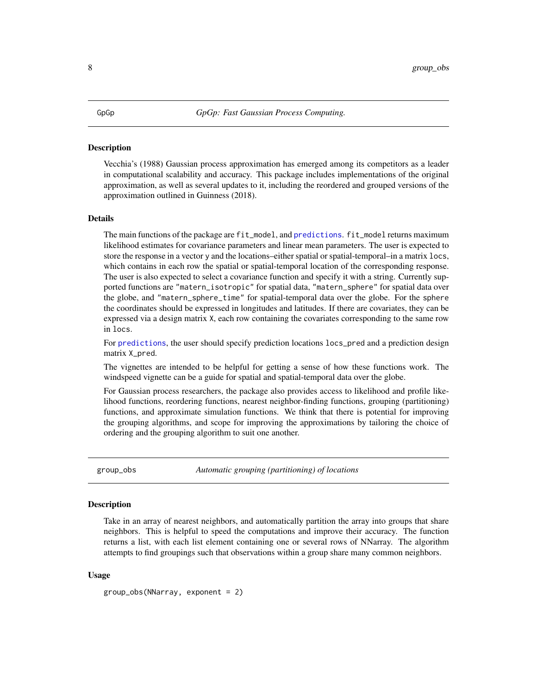#### <span id="page-7-0"></span>**Description**

Vecchia's (1988) Gaussian process approximation has emerged among its competitors as a leader in computational scalability and accuracy. This package includes implementations of the original approximation, as well as several updates to it, including the reordered and grouped versions of the approximation outlined in Guinness (2018).

#### Details

The main functions of the package are fit\_model, and [predictions](#page-18-1). fit\_model returns maximum likelihood estimates for covariance parameters and linear mean parameters. The user is expected to store the response in a vector y and the locations–either spatial or spatial-temporal–in a matrix locs, which contains in each row the spatial or spatial-temporal location of the corresponding response. The user is also expected to select a covariance function and specify it with a string. Currently supported functions are "matern\_isotropic" for spatial data, "matern\_sphere" for spatial data over the globe, and "matern\_sphere\_time" for spatial-temporal data over the globe. For the sphere the coordinates should be expressed in longitudes and latitudes. If there are covariates, they can be expressed via a design matrix X, each row containing the covariates corresponding to the same row in locs.

For [predictions](#page-18-1), the user should specify prediction locations locs\_pred and a prediction design matrix X\_pred.

The vignettes are intended to be helpful for getting a sense of how these functions work. The windspeed vignette can be a guide for spatial and spatial-temporal data over the globe.

For Gaussian process researchers, the package also provides access to likelihood and profile likelihood functions, reordering functions, nearest neighbor-finding functions, grouping (partitioning) functions, and approximate simulation functions. We think that there is potential for improving the grouping algorithms, and scope for improving the approximations by tailoring the choice of ordering and the grouping algorithm to suit one another.

group\_obs *Automatic grouping (partitioning) of locations*

#### **Description**

Take in an array of nearest neighbors, and automatically partition the array into groups that share neighbors. This is helpful to speed the computations and improve their accuracy. The function returns a list, with each list element containing one or several rows of NNarray. The algorithm attempts to find groupings such that observations within a group share many common neighbors.

#### Usage

group\_obs(NNarray, exponent = 2)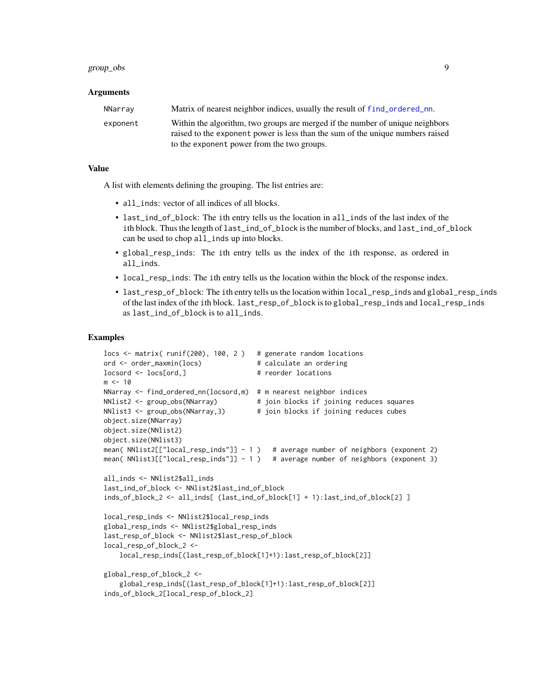#### <span id="page-8-0"></span>group\_obs 9

#### Arguments

| NNarrav  | Matrix of nearest neighbor indices, usually the result of find_ordered_nn.                                                                                      |
|----------|-----------------------------------------------------------------------------------------------------------------------------------------------------------------|
| exponent | Within the algorithm, two groups are merged if the number of unique neighbors<br>raised to the exponent power is less than the sum of the unique numbers raised |
|          | to the exponent power from the two groups.                                                                                                                      |

#### Value

A list with elements defining the grouping. The list entries are:

- all\_inds: vector of all indices of all blocks.
- last\_ind\_of\_block: The ith entry tells us the location in all\_inds of the last index of the ith block. Thus the length of last\_ind\_of\_block is the number of blocks, and last\_ind\_of\_block can be used to chop all\_inds up into blocks.
- global\_resp\_inds: The ith entry tells us the index of the ith response, as ordered in all\_inds.
- local\_resp\_inds: The ith entry tells us the location within the block of the response index.
- last\_resp\_of\_block: The ith entry tells us the location within local\_resp\_inds and global\_resp\_inds of the last index of the ith block. last\_resp\_of\_block is to global\_resp\_inds and local\_resp\_inds as last\_ind\_of\_block is to all\_inds.

```
locs <- matrix( runif(200), 100, 2 ) # generate random locations
ord <- order_maxmin(locs) # calculate an ordering
locsord <- locs[ord,] \qquad \qquad \qquad \text{# reorder locations}m < - 10NNarray <- find_ordered_nn(locsord,m) # m nearest neighbor indices
NNlist2 <- group_obs(NNarray) \qquad # join blocks if joining reduces squares
NNlist3 <- group_obs(NNarray,3) # join blocks if joining reduces cubes
object.size(NNarray)
object.size(NNlist2)
object.size(NNlist3)
mean( NNlist2[["local_resp_inds"]] - 1 ) # average number of neighbors (exponent 2)
mean( NNlist3[["local_resp_inds"]] - 1 ) # average number of neighbors (exponent 3)
all_inds <- NNlist2$all_inds
last_ind_of_block <- NNlist2$last_ind_of_block
inds_of_block_2 <- all_inds[ (last_ind_of_block[1] + 1):last_ind_of_block[2] ]
local_resp_inds <- NNlist2$local_resp_inds
global_resp_inds <- NNlist2$global_resp_inds
last_resp_of_block <- NNlist2$last_resp_of_block
local_resp_of_block_2 <-
   local_resp_inds[(last_resp_of_block[1]+1):last_resp_of_block[2]]
global_resp_of_block_2 <-
    global_resp_inds[(last_resp_of_block[1]+1):last_resp_of_block[2]]
inds_of_block_2[local_resp_of_block_2]
```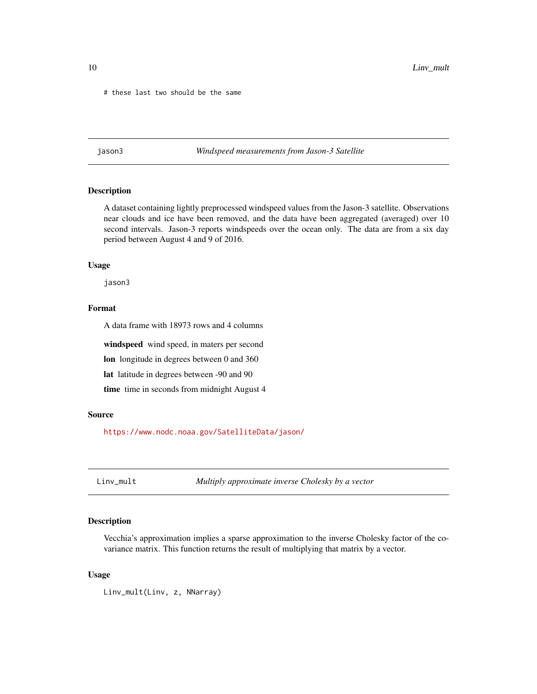<span id="page-9-0"></span># these last two should be the same

jason3 *Windspeed measurements from Jason-3 Satellite*

#### Description

A dataset containing lightly preprocessed windspeed values from the Jason-3 satellite. Observations near clouds and ice have been removed, and the data have been aggregated (averaged) over 10 second intervals. Jason-3 reports windspeeds over the ocean only. The data are from a six day period between August 4 and 9 of 2016.

#### Usage

jason3

#### Format

A data frame with 18973 rows and 4 columns

windspeed wind speed, in maters per second

lon longitude in degrees between 0 and 360

lat latitude in degrees between -90 and 90

time time in seconds from midnight August 4

#### Source

<https://www.nodc.noaa.gov/SatelliteData/jason/>

Linv\_mult *Multiply approximate inverse Cholesky by a vector*

#### Description

Vecchia's approximation implies a sparse approximation to the inverse Cholesky factor of the covariance matrix. This function returns the result of multiplying that matrix by a vector.

#### Usage

Linv\_mult(Linv, z, NNarray)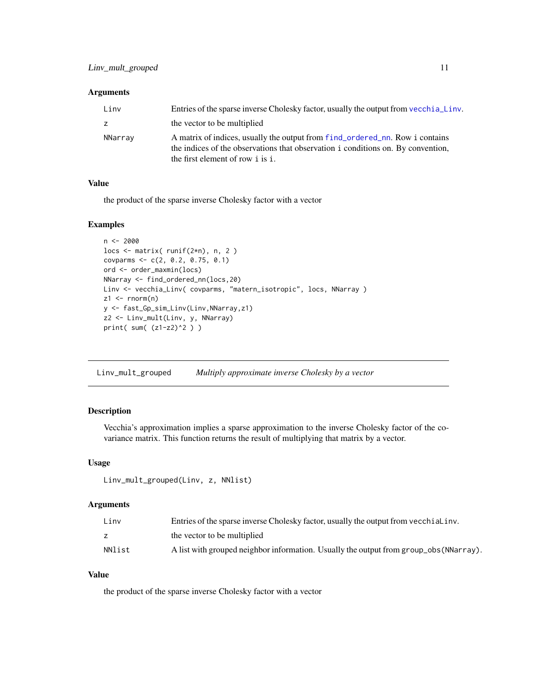#### <span id="page-10-0"></span>Arguments

| Linv    | Entries of the sparse inverse Cholesky factor, usually the output from vecchia Linv.                                                                                                                  |
|---------|-------------------------------------------------------------------------------------------------------------------------------------------------------------------------------------------------------|
| z.      | the vector to be multiplied                                                                                                                                                                           |
| NNarray | A matrix of indices, usually the output from f ind_ordered_nn. Row i contains<br>the indices of the observations that observation i conditions on. By convention,<br>the first element of row i is i. |

#### Value

the product of the sparse inverse Cholesky factor with a vector

#### Examples

```
n <- 2000
locs <- matrix( runif(2*n), n, 2 )
covparms <- c(2, 0.2, 0.75, 0.1)
ord <- order_maxmin(locs)
NNarray <- find_ordered_nn(locs,20)
Linv <- vecchia_Linv( covparms, "matern_isotropic", locs, NNarray )
z1 \leftarrow \text{norm}(n)y <- fast_Gp_sim_Linv(Linv,NNarray,z1)
z2 <- Linv_mult(Linv, y, NNarray)
print( sum( (z1-z2)^2 ) )
```
Linv\_mult\_grouped *Multiply approximate inverse Cholesky by a vector*

#### Description

Vecchia's approximation implies a sparse approximation to the inverse Cholesky factor of the covariance matrix. This function returns the result of multiplying that matrix by a vector.

#### Usage

```
Linv_mult_grouped(Linv, z, NNlist)
```
#### Arguments

| Linv   | Entries of the sparse inverse Cholesky factor, usually the output from vecchial inv.  |
|--------|---------------------------------------------------------------------------------------|
|        | the vector to be multiplied                                                           |
| NNlist | A list with grouped neighbor information. Usually the output from group_obs(NNarray). |

#### Value

the product of the sparse inverse Cholesky factor with a vector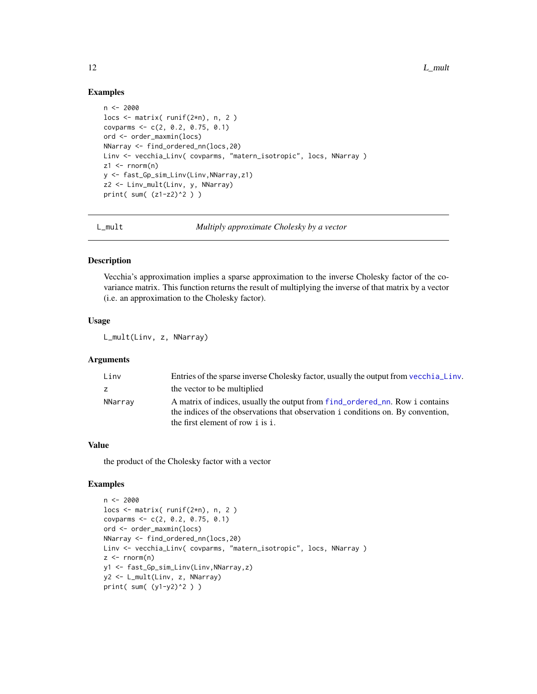#### Examples

```
n < -2000locs \leq matrix( runif(2*n), n, 2)
covparms <- c(2, 0.2, 0.75, 0.1)
ord <- order_maxmin(locs)
NNarray <- find_ordered_nn(locs,20)
Linv <- vecchia_Linv( covparms, "matern_isotropic", locs, NNarray )
z1 \le- rnorm(n)y <- fast_Gp_sim_Linv(Linv,NNarray,z1)
z2 <- Linv_mult(Linv, y, NNarray)
print( sum( (z1-z2)^2 ) )
```
L\_mult *Multiply approximate Cholesky by a vector*

#### Description

Vecchia's approximation implies a sparse approximation to the inverse Cholesky factor of the covariance matrix. This function returns the result of multiplying the inverse of that matrix by a vector (i.e. an approximation to the Cholesky factor).

#### Usage

L\_mult(Linv, z, NNarray)

#### Arguments

| Linv    | Entries of the sparse inverse Cholesky factor, usually the output from vecchia Linv.                                                                                                                  |
|---------|-------------------------------------------------------------------------------------------------------------------------------------------------------------------------------------------------------|
|         | the vector to be multiplied                                                                                                                                                                           |
| NNarray | A matrix of indices, usually the output from f ind_ordered_nn. Row i contains<br>the indices of the observations that observation i conditions on. By convention,<br>the first element of row i is i. |

#### Value

the product of the Cholesky factor with a vector

```
n < -2000locs <- matrix( runif(2*n), n, 2 )
covparms <- c(2, 0.2, 0.75, 0.1)
ord <- order_maxmin(locs)
NNarray <- find_ordered_nn(locs,20)
Linv <- vecchia_Linv( covparms, "matern_isotropic", locs, NNarray )
z < - rnorm(n)
y1 <- fast_Gp_sim_Linv(Linv,NNarray,z)
y2 <- L_mult(Linv, z, NNarray)
print( sum( (y1-y2)^2 ) )
```
<span id="page-11-0"></span>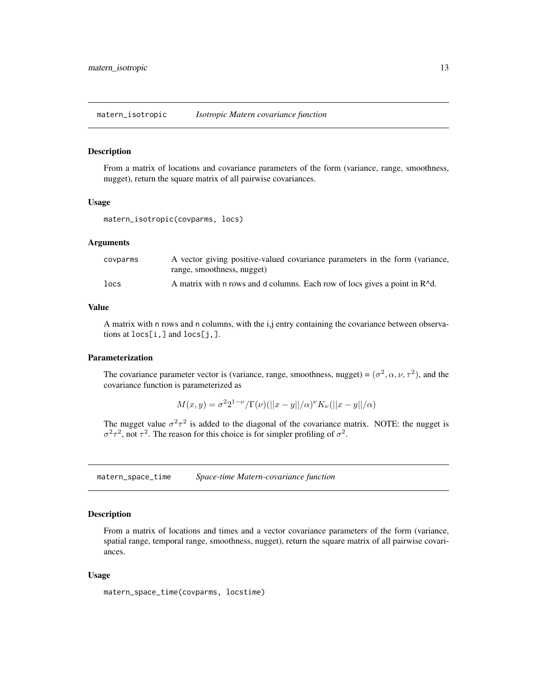<span id="page-12-0"></span>matern\_isotropic *Isotropic Matern covariance function*

#### Description

From a matrix of locations and covariance parameters of the form (variance, range, smoothness, nugget), return the square matrix of all pairwise covariances.

#### Usage

matern\_isotropic(covparms, locs)

#### Arguments

| covparms | A vector giving positive-valued covariance parameters in the form (variance,            |
|----------|-----------------------------------------------------------------------------------------|
|          | range, smoothness, nugget)                                                              |
| locs     | A matrix with n rows and d columns. Each row of locs gives a point in R <sup>^</sup> d. |

#### Value

A matrix with n rows and n columns, with the i,j entry containing the covariance between observations at locs[i,] and locs[j,].

#### Parameterization

The covariance parameter vector is (variance, range, smoothness, nugget) =  $(\sigma^2, \alpha, \nu, \tau^2)$ , and the covariance function is parameterized as

$$
M(x, y) = \sigma^{2} 2^{1-\nu} / \Gamma(\nu) (||x - y||/\alpha)^{\nu} K_{\nu} (||x - y||/\alpha)
$$

The nugget value  $\sigma^2 \tau^2$  is added to the diagonal of the covariance matrix. NOTE: the nugget is  $\sigma^2 \tau^2$ , not  $\tau^2$ . The reason for this choice is for simpler profiling of  $\sigma^2$ .

matern\_space\_time *Space-time Matern-covariance function*

#### Description

From a matrix of locations and times and a vector covariance parameters of the form (variance, spatial range, temporal range, smoothness, nugget), return the square matrix of all pairwise covariances.

#### Usage

```
matern_space_time(covparms, locstime)
```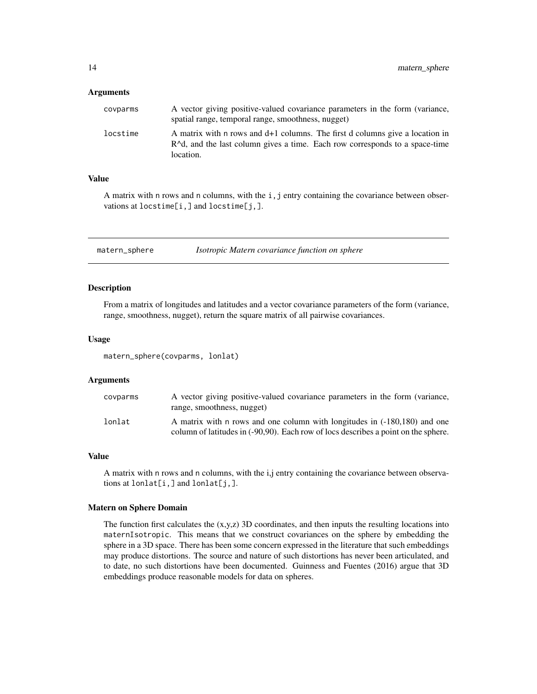#### <span id="page-13-0"></span>Arguments

| covparms | A vector giving positive-valued covariance parameters in the form (variance,<br>spatial range, temporal range, smoothness, nugget)                                                  |
|----------|-------------------------------------------------------------------------------------------------------------------------------------------------------------------------------------|
| locstime | A matrix with n rows and d+1 columns. The first d columns give a location in<br>$R^{\wedge}d$ , and the last column gives a time. Each row corresponds to a space-time<br>location. |

#### Value

A matrix with n rows and n columns, with the i, j entry containing the covariance between observations at locstime[i,] and locstime[j,].

matern\_sphere *Isotropic Matern covariance function on sphere*

#### Description

From a matrix of longitudes and latitudes and a vector covariance parameters of the form (variance, range, smoothness, nugget), return the square matrix of all pairwise covariances.

#### Usage

matern\_sphere(covparms, lonlat)

#### Arguments

| covparms | A vector giving positive-valued covariance parameters in the form (variance,<br>range, smoothness, nugget)                                                      |
|----------|-----------------------------------------------------------------------------------------------------------------------------------------------------------------|
| lonlat   | A matrix with n rows and one column with longitudes in (-180,180) and one<br>column of latitudes in (-90,90). Each row of locs describes a point on the sphere. |

#### Value

A matrix with n rows and n columns, with the i,j entry containing the covariance between observations at lonlat[i,] and lonlat[j,].

#### Matern on Sphere Domain

The function first calculates the  $(x,y,z)$  3D coordinates, and then inputs the resulting locations into maternIsotropic. This means that we construct covariances on the sphere by embedding the sphere in a 3D space. There has been some concern expressed in the literature that such embeddings may produce distortions. The source and nature of such distortions has never been articulated, and to date, no such distortions have been documented. Guinness and Fuentes (2016) argue that 3D embeddings produce reasonable models for data on spheres.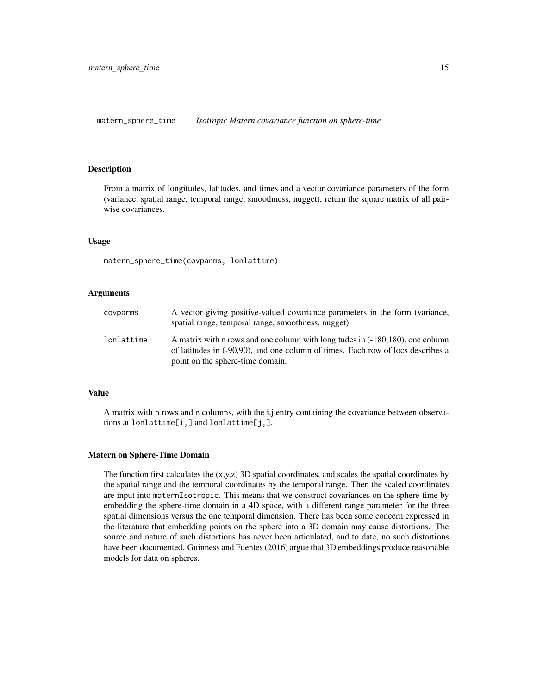<span id="page-14-0"></span>matern\_sphere\_time *Isotropic Matern covariance function on sphere-time*

#### Description

From a matrix of longitudes, latitudes, and times and a vector covariance parameters of the form (variance, spatial range, temporal range, smoothness, nugget), return the square matrix of all pairwise covariances.

#### Usage

matern\_sphere\_time(covparms, lonlattime)

#### Arguments

| covparms   | A vector giving positive-valued covariance parameters in the form (variance,<br>spatial range, temporal range, smoothness, nugget)                                                                   |
|------------|------------------------------------------------------------------------------------------------------------------------------------------------------------------------------------------------------|
| lonlattime | A matrix with n rows and one column with longitudes in (-180,180), one column<br>of latitudes in (-90,90), and one column of times. Each row of locs describes a<br>point on the sphere-time domain. |

#### Value

A matrix with n rows and n columns, with the i,j entry containing the covariance between observations at lonlattime[i,] and lonlattime[j,].

#### Matern on Sphere-Time Domain

The function first calculates the  $(x,y,z)$  3D spatial coordinates, and scales the spatial coordinates by the spatial range and the temporal coordinates by the temporal range. Then the scaled coordinates are input into maternIsotropic. This means that we construct covariances on the sphere-time by embedding the sphere-time domain in a 4D space, with a different range parameter for the three spatial dimensions versus the one temporal dimension. There has been some concern expressed in the literature that embedding points on the sphere into a 3D domain may cause distortions. The source and nature of such distortions has never been articulated, and to date, no such distortions have been documented. Guinness and Fuentes (2016) argue that 3D embeddings produce reasonable models for data on spheres.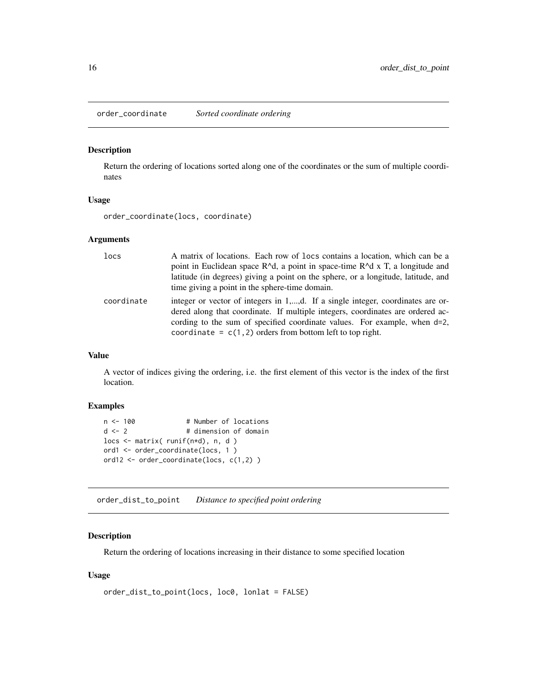<span id="page-15-0"></span>order\_coordinate *Sorted coordinate ordering*

#### Description

Return the ordering of locations sorted along one of the coordinates or the sum of multiple coordinates

#### Usage

order\_coordinate(locs, coordinate)

#### Arguments

| locs       | A matrix of locations. Each row of locs contains a location, which can be a<br>point in Euclidean space $R^{\wedge}d$ , a point in space-time $R^{\wedge}d$ x T, a longitude and<br>latitude (in degrees) giving a point on the sphere, or a longitude, latitude, and<br>time giving a point in the sphere-time domain. |
|------------|-------------------------------------------------------------------------------------------------------------------------------------------------------------------------------------------------------------------------------------------------------------------------------------------------------------------------|
| coordinate | integer or vector of integers in 1,,d. If a single integer, coordinates are or-<br>dered along that coordinate. If multiple integers, coordinates are ordered ac-<br>cording to the sum of specified coordinate values. For example, when d=2,<br>coordinate = $c(1,2)$ orders from bottom left to top right.           |

#### Value

A vector of indices giving the ordering, i.e. the first element of this vector is the index of the first location.

#### Examples

```
n < -100 # Number of locations
d \le -2 # dimension of domain
locs <- matrix( runif(n*d), n, d )
ord1 <- order_coordinate(locs, 1 )
ord12 <- order_coordinate(locs, c(1,2) )
```
order\_dist\_to\_point *Distance to specified point ordering*

#### Description

Return the ordering of locations increasing in their distance to some specified location

#### Usage

```
order_dist_to_point(locs, loc0, lonlat = FALSE)
```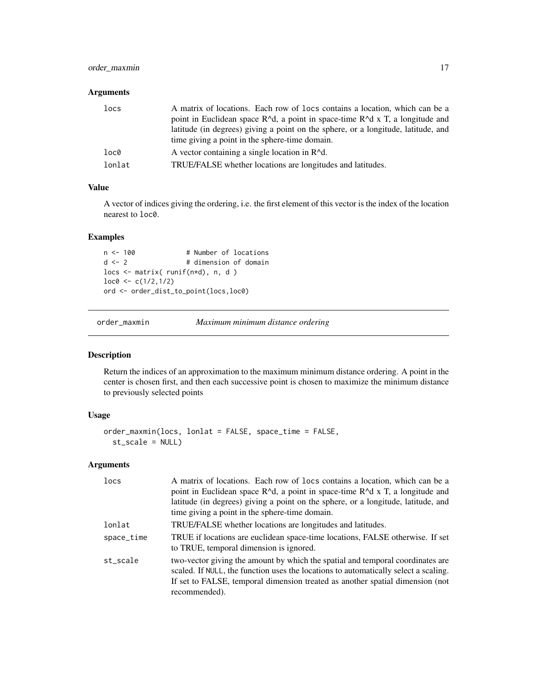#### <span id="page-16-0"></span>order\_maxmin 17

#### Arguments

| locs   | A matrix of locations. Each row of locs contains a location, which can be a<br>point in Euclidean space $R^{\wedge}d$ , a point in space-time $R^{\wedge}d \times T$ , a longitude and<br>latitude (in degrees) giving a point on the sphere, or a longitude, latitude, and |
|--------|-----------------------------------------------------------------------------------------------------------------------------------------------------------------------------------------------------------------------------------------------------------------------------|
|        | time giving a point in the sphere-time domain.                                                                                                                                                                                                                              |
| loc0   | A vector containing a single location in $R^{\wedge}d$ .                                                                                                                                                                                                                    |
| lonlat | TRUE/FALSE whether locations are longitudes and latitudes.                                                                                                                                                                                                                  |

#### Value

A vector of indices giving the ordering, i.e. the first element of this vector is the index of the location nearest to loc0.

#### Examples

```
n <- 100 # Number of locations
d \le -2 # dimension of domain
locs <- matrix( runif(n*d), n, d )
loc@ < -c(1/2,1/2)ord <- order_dist_to_point(locs,loc0)
```
order\_maxmin *Maximum minimum distance ordering*

#### Description

Return the indices of an approximation to the maximum minimum distance ordering. A point in the center is chosen first, and then each successive point is chosen to maximize the minimum distance to previously selected points

#### Usage

```
order_maxmin(locs, lonlat = FALSE, space_time = FALSE,
  st_scale = NULL)
```
#### Arguments

| locs       | A matrix of locations. Each row of locs contains a location, which can be a<br>point in Euclidean space R^d, a point in space-time R^d x T, a longitude and<br>latitude (in degrees) giving a point on the sphere, or a longitude, latitude, and<br>time giving a point in the sphere-time domain. |
|------------|----------------------------------------------------------------------------------------------------------------------------------------------------------------------------------------------------------------------------------------------------------------------------------------------------|
| lonlat     | TRUE/FALSE whether locations are longitudes and latitudes.                                                                                                                                                                                                                                         |
| space_time | TRUE if locations are euclidean space-time locations, FALSE otherwise. If set<br>to TRUE, temporal dimension is ignored.                                                                                                                                                                           |
| st_scale   | two-vector giving the amount by which the spatial and temporal coordinates are<br>scaled. If NULL, the function uses the locations to automatically select a scaling.<br>If set to FALSE, temporal dimension treated as another spatial dimension (not<br>recommended).                            |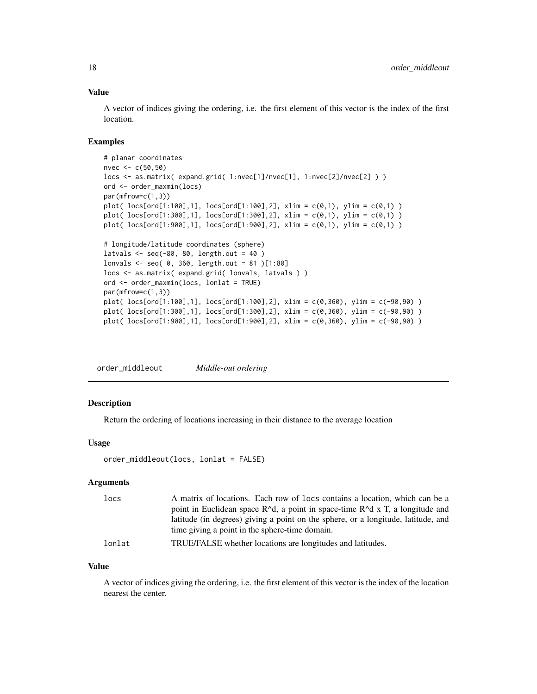#### <span id="page-17-0"></span>Value

A vector of indices giving the ordering, i.e. the first element of this vector is the index of the first location.

#### Examples

```
# planar coordinates
nvec <- c(50,50)
locs <- as.matrix( expand.grid( 1:nvec[1]/nvec[1], 1:nvec[2]/nvec[2] ) )
ord <- order_maxmin(locs)
par(mfrow=c(1,3))
plot( loc[ord[1:100], 1], loc[ord[1:100], 2], xlim = c(0,1), ylim = c(0,1))
plot( locs[ord[1:300],1], locs[ord[1:300],2], xlim = c(0,1), ylim = c(0,1) )
plot( locs[ord[1:900],1], locs[ord[1:900],2], xlim = c(0,1), ylim = c(0,1) )
# longitude/latitude coordinates (sphere)
latvals \leq seq(-80, 80, length.out = 40)
lonvals <- seq( 0, 360, length.out = 81 )[1:80]
locs <- as.matrix( expand.grid( lonvals, latvals ) )
ord <- order_maxmin(locs, lonlat = TRUE)
par(mfrow=c(1,3))
plot( locs[ord[1:100],1], locs[ord[1:100],2], xlim = c(0,360), ylim = c(-90,90) )
plot( locs[ord[1:300],1], locs[ord[1:300],2], xlim = c(0,360), ylim = c(-90,90) )
plot( locs[ord[1:900],1], locs[ord[1:900],2], xlim = c(0,360), ylim = c(-90,90) )
```
order\_middleout *Middle-out ordering*

#### Description

Return the ordering of locations increasing in their distance to the average location

#### Usage

```
order_middleout(locs, lonlat = FALSE)
```
#### Arguments

| locs   | A matrix of locations. Each row of locs contains a location, which can be a       |
|--------|-----------------------------------------------------------------------------------|
|        | point in Euclidean space $R^d$ , a point in space-time $R^d$ x T, a longitude and |
|        | latitude (in degrees) giving a point on the sphere, or a longitude, latitude, and |
|        | time giving a point in the sphere-time domain.                                    |
| lonlat | TRUE/FALSE whether locations are longitudes and latitudes.                        |

#### Value

A vector of indices giving the ordering, i.e. the first element of this vector is the index of the location nearest the center.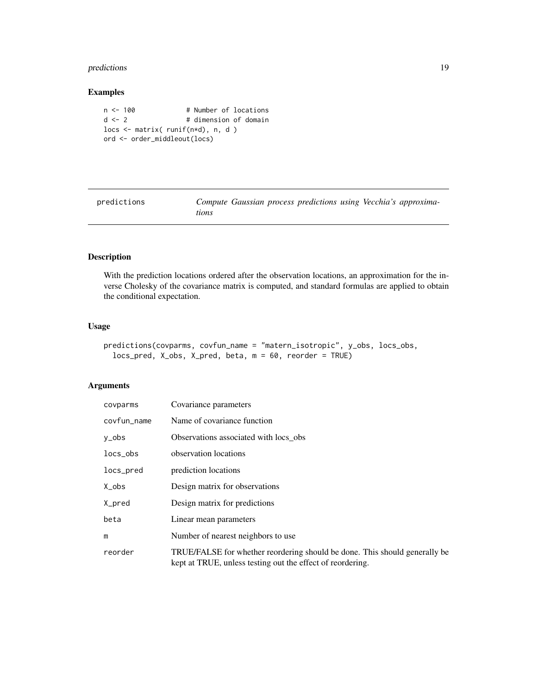#### <span id="page-18-0"></span>predictions 19

#### Examples

```
n <- 100 # Number of locations
d <- 2 # dimension of domain
locs <- matrix( runif(n*d), n, d )
ord <- order_middleout(locs)
```
<span id="page-18-1"></span>predictions *Compute Gaussian process predictions using Vecchia's approximations*

#### Description

With the prediction locations ordered after the observation locations, an approximation for the inverse Cholesky of the covariance matrix is computed, and standard formulas are applied to obtain the conditional expectation.

#### Usage

```
predictions(covparms, covfun_name = "matern_isotropic", y_obs, locs_obs,
  locs_pred, X_obs, X_pred, beta, m = 60, reorder = TRUE)
```
#### Arguments

| covparms    | Covariance parameters                                                                                                                    |
|-------------|------------------------------------------------------------------------------------------------------------------------------------------|
| covfun_name | Name of covariance function                                                                                                              |
| y_obs       | Observations associated with locs obs                                                                                                    |
| $locs_obs$  | observation locations                                                                                                                    |
| locs_pred   | prediction locations                                                                                                                     |
| $Xo$ bs     | Design matrix for observations                                                                                                           |
| X_pred      | Design matrix for predictions                                                                                                            |
| beta        | Linear mean parameters                                                                                                                   |
| m           | Number of nearest neighbors to use.                                                                                                      |
| reorder     | TRUE/FALSE for whether reordering should be done. This should generally be<br>kept at TRUE, unless testing out the effect of reordering. |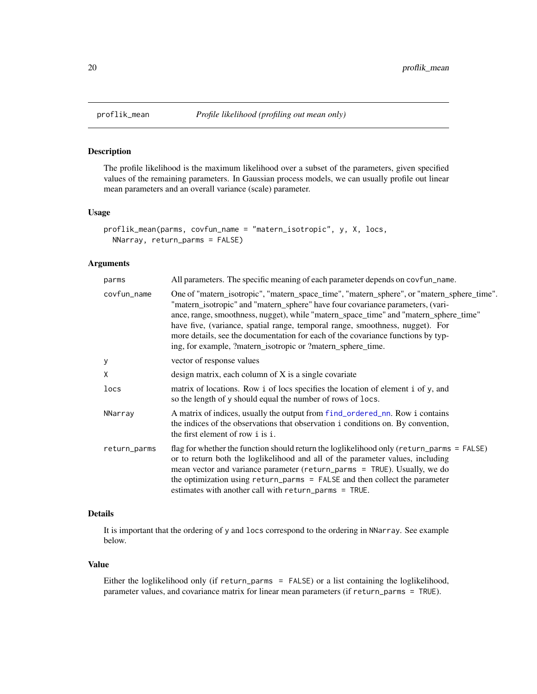#### Description

The profile likelihood is the maximum likelihood over a subset of the parameters, given specified values of the remaining parameters. In Gaussian process models, we can usually profile out linear mean parameters and an overall variance (scale) parameter.

#### Usage

```
proflik_mean(parms, covfun_name = "matern_isotropic", y, X, locs,
 NNarray, return_parms = FALSE)
```
#### Arguments

| parms        | All parameters. The specific meaning of each parameter depends on covfun_name.                                                                                                                                                                                                                                                                                                                                                                                                                          |
|--------------|---------------------------------------------------------------------------------------------------------------------------------------------------------------------------------------------------------------------------------------------------------------------------------------------------------------------------------------------------------------------------------------------------------------------------------------------------------------------------------------------------------|
| covfun_name  | One of "matern_isotropic", "matern_space_time", "matern_sphere", or "matern_sphere_time".<br>"matern_isotropic" and "matern_sphere" have four covariance parameters, (vari-<br>ance, range, smoothness, nugget), while "matern_space_time" and "matern_sphere_time"<br>have five, (variance, spatial range, temporal range, smoothness, nugget). For<br>more details, see the documentation for each of the covariance functions by typ-<br>ing, for example, ?matern_isotropic or ?matern_sphere_time. |
| у            | vector of response values                                                                                                                                                                                                                                                                                                                                                                                                                                                                               |
| X            | design matrix, each column of X is a single covariate                                                                                                                                                                                                                                                                                                                                                                                                                                                   |
| locs         | matrix of locations. Row i of locs specifies the location of element i of y, and<br>so the length of y should equal the number of rows of locs.                                                                                                                                                                                                                                                                                                                                                         |
| NNarray      | A matrix of indices, usually the output from f ind_ordered_nn. Row i contains<br>the indices of the observations that observation i conditions on. By convention,<br>the first element of row i is i.                                                                                                                                                                                                                                                                                                   |
| return_parms | flag for whether the function should return the loglikelihood only (return_parms = $FALSE$ )<br>or to return both the loglikelihood and all of the parameter values, including<br>mean vector and variance parameter (return_parms = TRUE). Usually, we do<br>the optimization using return_parms = FALSE and then collect the parameter<br>estimates with another call with return_parms = TRUE.                                                                                                       |

#### Details

It is important that the ordering of y and locs correspond to the ordering in NNarray. See example below.

#### Value

Either the loglikelihood only (if return\_parms = FALSE) or a list containing the loglikelihood, parameter values, and covariance matrix for linear mean parameters (if return\_parms = TRUE).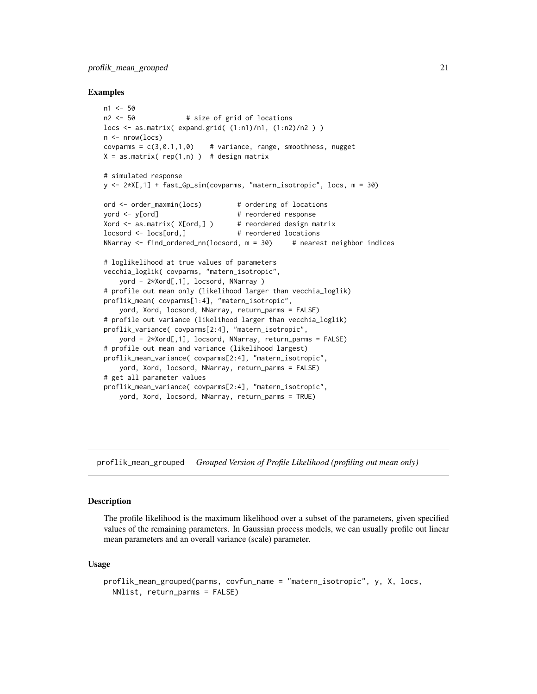#### <span id="page-20-0"></span>proflik\_mean\_grouped 21

#### Examples

```
n1 < -50n2 <- 50 # size of grid of locations
locs <- as.matrix( expand.grid( (1:n1)/n1, (1:n2)/n2 ) )
n \leq -nrow(log)covparms = c(3, 0.1, 1, 0) # variance, range, smoothness, nugget
X = as_matrix(\nvert n) \nvert ) # design matrix
# simulated response
y <- 2*X[,1] + fast_Gp_sim(covparms, "matern_isotropic", locs, m = 30)
ord <- order_maxmin(locs) # ordering of locations
yord <- y[ord] # reordered response
Xord \leq as.matrix( X[ord,] ) # reordered design matrix
locsord <- locs[ord,] # reordered locations
NNarray \le find_ordered_nn(locsord, m = 30) # nearest neighbor indices
# loglikelihood at true values of parameters
vecchia_loglik( covparms, "matern_isotropic",
    yord - 2*Xord[,1], locsord, NNarray )
# profile out mean only (likelihood larger than vecchia_loglik)
proflik_mean( covparms[1:4], "matern_isotropic",
    yord, Xord, locsord, NNarray, return_parms = FALSE)
# profile out variance (likelihood larger than vecchia_loglik)
proflik_variance( covparms[2:4], "matern_isotropic",
   yord - 2*Xord[,1], locsord, NNarray, return_parms = FALSE)
# profile out mean and variance (likelihood largest)
proflik_mean_variance( covparms[2:4], "matern_isotropic",
   yord, Xord, locsord, NNarray, return_parms = FALSE)
# get all parameter values
proflik_mean_variance( covparms[2:4], "matern_isotropic",
   yord, Xord, locsord, NNarray, return_parms = TRUE)
```
proflik\_mean\_grouped *Grouped Version of Profile Likelihood (profiling out mean only)*

#### Description

The profile likelihood is the maximum likelihood over a subset of the parameters, given specified values of the remaining parameters. In Gaussian process models, we can usually profile out linear mean parameters and an overall variance (scale) parameter.

#### Usage

```
proflik_mean_grouped(parms, covfun_name = "matern_isotropic", y, X, locs,
 NNlist, return_parms = FALSE)
```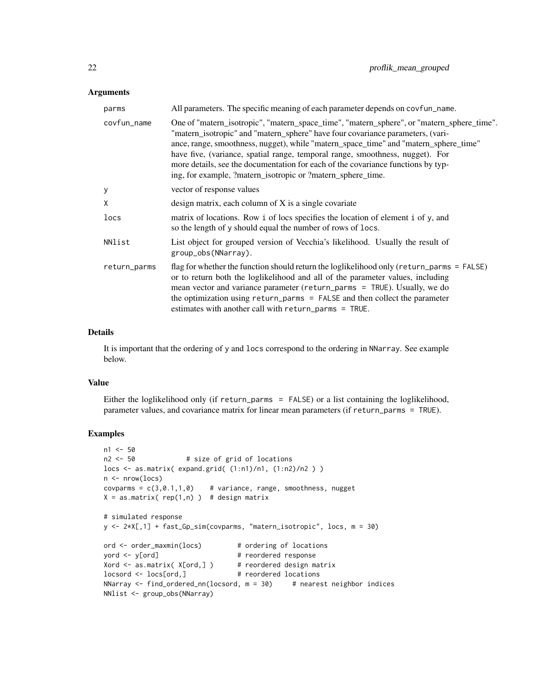#### Arguments

| parms        | All parameters. The specific meaning of each parameter depends on covfun_name.                                                                                                                                                                                                                                                                                                                                                                                                                          |
|--------------|---------------------------------------------------------------------------------------------------------------------------------------------------------------------------------------------------------------------------------------------------------------------------------------------------------------------------------------------------------------------------------------------------------------------------------------------------------------------------------------------------------|
| covfun_name  | One of "matern_isotropic", "matern_space_time", "matern_sphere", or "matern_sphere_time".<br>"matern_isotropic" and "matern_sphere" have four covariance parameters, (vari-<br>ance, range, smoothness, nugget), while "matern_space_time" and "matern_sphere_time"<br>have five, (variance, spatial range, temporal range, smoothness, nugget). For<br>more details, see the documentation for each of the covariance functions by typ-<br>ing, for example, ?matern_isotropic or ?matern_sphere_time. |
| у            | vector of response values                                                                                                                                                                                                                                                                                                                                                                                                                                                                               |
| X            | design matrix, each column of $X$ is a single covariate                                                                                                                                                                                                                                                                                                                                                                                                                                                 |
| locs         | matrix of locations. Row i of locs specifies the location of element i of y, and<br>so the length of y should equal the number of rows of locs.                                                                                                                                                                                                                                                                                                                                                         |
| NNlist       | List object for grouped version of Vecchia's likelihood. Usually the result of<br>group_obs(NNarray).                                                                                                                                                                                                                                                                                                                                                                                                   |
| return_parms | flag for whether the function should return the loglikelihood only (return_parms = FALSE)<br>or to return both the loglikelihood and all of the parameter values, including<br>mean vector and variance parameter (return_parms = TRUE). Usually, we do<br>the optimization using return_parms = FALSE and then collect the parameter<br>estimates with another call with return_parms = TRUE.                                                                                                          |

#### Details

It is important that the ordering of y and locs correspond to the ordering in NNarray. See example below.

#### Value

Either the loglikelihood only (if return\_parms = FALSE) or a list containing the loglikelihood, parameter values, and covariance matrix for linear mean parameters (if return\_parms = TRUE).

```
n1 < -50n2 <- 50 # size of grid of locations
locs <- as.matrix( expand.grid( (1:n1)/n1, (1:n2)/n2 ) )
n \leq -nrow(log)covparms = c(3, 0.1, 1, 0) # variance, range, smoothness, nugget
X = as.matrix( rep(1, n)) # design matrix# simulated response
y <- 2*X[,1] + fast_Gp_sim(covparms, "matern_isotropic", locs, m = 30)
ord <- order_maxmin(locs) # ordering of locations
yord <- y[ord] # reordered response
Xord <- as.matrix( X[ord,] ) # reordered design matrix
locsord <- locs[ord,] # reordered locations
NNarray \le find_ordered_nn(locsord, m = 30) # nearest neighbor indices
NNlist <- group_obs(NNarray)
```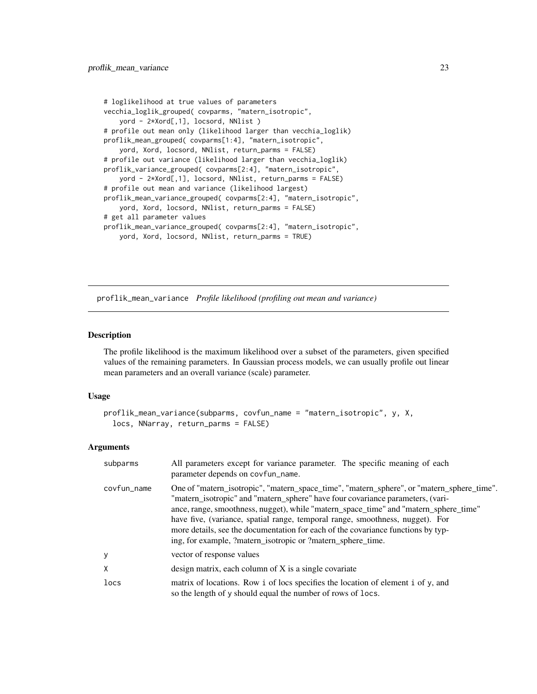```
# loglikelihood at true values of parameters
vecchia_loglik_grouped( covparms, "matern_isotropic",
   yord - 2*Xord[,1], locsord, NNlist )
# profile out mean only (likelihood larger than vecchia_loglik)
proflik_mean_grouped( covparms[1:4], "matern_isotropic",
    yord, Xord, locsord, NNlist, return_parms = FALSE)
# profile out variance (likelihood larger than vecchia_loglik)
proflik_variance_grouped( covparms[2:4], "matern_isotropic",
    yord - 2*Xord[,1], locsord, NNlist, return_parms = FALSE)
# profile out mean and variance (likelihood largest)
proflik_mean_variance_grouped( covparms[2:4], "matern_isotropic",
    yord, Xord, locsord, NNlist, return_parms = FALSE)
# get all parameter values
proflik_mean_variance_grouped( covparms[2:4], "matern_isotropic",
    yord, Xord, locsord, NNlist, return_parms = TRUE)
```
proflik\_mean\_variance *Profile likelihood (profiling out mean and variance)*

#### Description

The profile likelihood is the maximum likelihood over a subset of the parameters, given specified values of the remaining parameters. In Gaussian process models, we can usually profile out linear mean parameters and an overall variance (scale) parameter.

#### Usage

```
proflik_mean_variance(subparms, covfun_name = "matern_isotropic", y, X,
  locs, NNarray, return_parms = FALSE)
```
#### Arguments

| subparms    | All parameters except for variance parameter. The specific meaning of each<br>parameter depends on covfun_name.                                                                                                                                                                                                                                                                                                                                                                                         |
|-------------|---------------------------------------------------------------------------------------------------------------------------------------------------------------------------------------------------------------------------------------------------------------------------------------------------------------------------------------------------------------------------------------------------------------------------------------------------------------------------------------------------------|
| covfun_name | One of "matern_isotropic", "matern_space_time", "matern_sphere", or "matern_sphere_time".<br>"matern_isotropic" and "matern_sphere" have four covariance parameters, (vari-<br>ance, range, smoothness, nugget), while "matern_space_time" and "matern_sphere_time"<br>have five, (variance, spatial range, temporal range, smoothness, nugget). For<br>more details, see the documentation for each of the covariance functions by typ-<br>ing, for example, ?matern_isotropic or ?matern_sphere_time. |
| y           | vector of response values                                                                                                                                                                                                                                                                                                                                                                                                                                                                               |
| X           | design matrix, each column of X is a single covariate                                                                                                                                                                                                                                                                                                                                                                                                                                                   |
| locs        | matrix of locations. Row i of locs specifies the location of element i of y, and<br>so the length of y should equal the number of rows of locs.                                                                                                                                                                                                                                                                                                                                                         |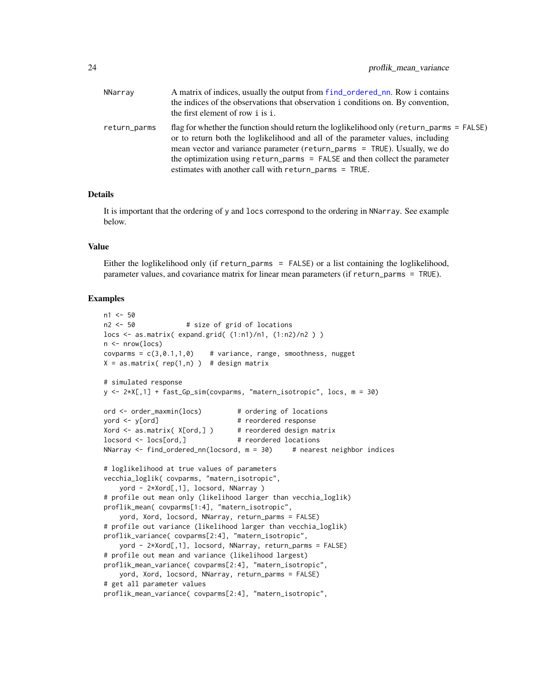<span id="page-23-0"></span>

| NNarray      | A matrix of indices, usually the output from f ind_ordered_nn. Row i contains<br>the indices of the observations that observation i conditions on. By convention,<br>the first element of row i is i.                                                                                                                                                                                                |
|--------------|------------------------------------------------------------------------------------------------------------------------------------------------------------------------------------------------------------------------------------------------------------------------------------------------------------------------------------------------------------------------------------------------------|
| return_parms | flag for whether the function should return the loglikelihood only ( $return\_params = FALSE$ )<br>or to return both the loglikelihood and all of the parameter values, including<br>mean vector and variance parameter (return_parms = TRUE). Usually, we do<br>the optimization using return_parms = FALSE and then collect the parameter<br>estimates with another call with return_parms = TRUE. |

#### Details

It is important that the ordering of y and locs correspond to the ordering in NNarray. See example below.

#### Value

Either the loglikelihood only (if return\_parms = FALSE) or a list containing the loglikelihood, parameter values, and covariance matrix for linear mean parameters (if return\_parms = TRUE).

```
n1 < -50n2 <- 50 # size of grid of locations
locs <- as.matrix( expand.grid( (1:n1)/n1, (1:n2)/n2 ) )
n \leq -nrow(log)covparms = c(3, 0.1, 1, 0) # variance, range, smoothness, nugget
X = as_matrix(\nvert n) \rightarrow # design matrix# simulated response
y <- 2*X[,1] + fast_Gp_sim(covparms, "matern_isotropic", locs, m = 30)
ord <- order_maxmin(locs) # ordering of locations
yord <- y[ord] # reordered response
Xord <- as.matrix( X[ord,] ) # reordered design matrix
locsord <- locs[ord,] # reordered locations
NNarray \le find_ordered_nn(locsord, m = 30) # nearest neighbor indices
# loglikelihood at true values of parameters
vecchia_loglik( covparms, "matern_isotropic",
   yord - 2*Xord[,1], locsord, NNarray )
# profile out mean only (likelihood larger than vecchia_loglik)
proflik_mean( covparms[1:4], "matern_isotropic",
   yord, Xord, locsord, NNarray, return_parms = FALSE)
# profile out variance (likelihood larger than vecchia_loglik)
proflik_variance( covparms[2:4], "matern_isotropic",
    yord - 2*Xord[,1], locsord, NNarray, return_parms = FALSE)
# profile out mean and variance (likelihood largest)
proflik_mean_variance( covparms[2:4], "matern_isotropic",
   yord, Xord, locsord, NNarray, return_parms = FALSE)
# get all parameter values
proflik_mean_variance( covparms[2:4], "matern_isotropic",
```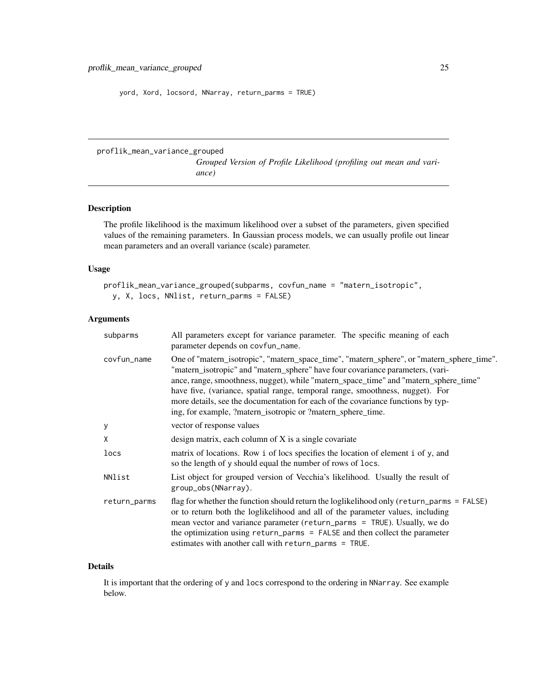<span id="page-24-0"></span>yord, Xord, locsord, NNarray, return\_parms = TRUE)

proflik\_mean\_variance\_grouped

*Grouped Version of Profile Likelihood (profiling out mean and variance)*

#### Description

The profile likelihood is the maximum likelihood over a subset of the parameters, given specified values of the remaining parameters. In Gaussian process models, we can usually profile out linear mean parameters and an overall variance (scale) parameter.

#### Usage

```
proflik_mean_variance_grouped(subparms, covfun_name = "matern_isotropic",
 y, X, locs, NNlist, return_parms = FALSE)
```
#### Arguments

| subparms     | All parameters except for variance parameter. The specific meaning of each<br>parameter depends on covfun_name.                                                                                                                                                                                                                                                                                                                                                                                         |
|--------------|---------------------------------------------------------------------------------------------------------------------------------------------------------------------------------------------------------------------------------------------------------------------------------------------------------------------------------------------------------------------------------------------------------------------------------------------------------------------------------------------------------|
| covfun_name  | One of "matern_isotropic", "matern_space_time", "matern_sphere", or "matern_sphere_time".<br>"matern_isotropic" and "matern_sphere" have four covariance parameters, (vari-<br>ance, range, smoothness, nugget), while "matern_space_time" and "matern_sphere_time"<br>have five, (variance, spatial range, temporal range, smoothness, nugget). For<br>more details, see the documentation for each of the covariance functions by typ-<br>ing, for example, ?matern_isotropic or ?matern_sphere_time. |
| У            | vector of response values                                                                                                                                                                                                                                                                                                                                                                                                                                                                               |
| X            | design matrix, each column of X is a single covariate                                                                                                                                                                                                                                                                                                                                                                                                                                                   |
| locs         | matrix of locations. Row i of locs specifies the location of element i of y, and<br>so the length of y should equal the number of rows of locs.                                                                                                                                                                                                                                                                                                                                                         |
| NNlist       | List object for grouped version of Vecchia's likelihood. Usually the result of<br>group_obs(NNarray).                                                                                                                                                                                                                                                                                                                                                                                                   |
| return_parms | flag for whether the function should return the loglikelihood only ( $return\_params = FALSE$ )<br>or to return both the loglikelihood and all of the parameter values, including<br>mean vector and variance parameter (return_parms = TRUE). Usually, we do<br>the optimization using $return\_params = FALSE$ and then collect the parameter<br>estimates with another call with return_parms = TRUE.                                                                                                |

#### Details

It is important that the ordering of y and locs correspond to the ordering in NNarray. See example below.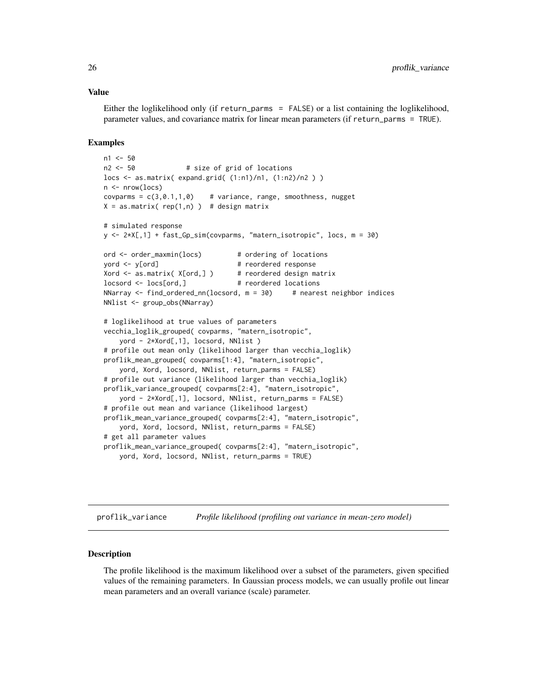#### Value

Either the loglikelihood only (if return\_parms = FALSE) or a list containing the loglikelihood, parameter values, and covariance matrix for linear mean parameters (if return\_parms = TRUE).

#### Examples

```
n1 < -50n2 <- 50 # size of grid of locations
locs <- as.matrix( expand.grid( (1:n1)/n1, (1:n2)/n2 ) )
n \leftarrow \text{nrow}(\text{locs})covparms = c(3, 0.1, 1, 0) # variance, range, smoothness, nugget
X = as_matrix( rep(1, n) ) # design matrix# simulated response
y <- 2*X[,1] + fast_Gp_sim(covparms, "matern_isotropic", locs, m = 30)
ord <- order_maxmin(locs) # ordering of locations
yord <- y[ord] # reordered response
Xord <- as.matrix( X[ord,] ) # reordered design matrix
locsord <- locs[ord,] # reordered locations
NNarray \le find_ordered_nn(locsord, m = 30) # nearest neighbor indices
NNlist <- group_obs(NNarray)
# loglikelihood at true values of parameters
vecchia_loglik_grouped( covparms, "matern_isotropic",
    yord - 2*Xord[,1], locsord, NNlist )
# profile out mean only (likelihood larger than vecchia_loglik)
proflik_mean_grouped( covparms[1:4], "matern_isotropic",
    yord, Xord, locsord, NNlist, return_parms = FALSE)
# profile out variance (likelihood larger than vecchia_loglik)
proflik_variance_grouped( covparms[2:4], "matern_isotropic",
   yord - 2*Xord[,1], locsord, NNlist, return_parms = FALSE)
# profile out mean and variance (likelihood largest)
proflik_mean_variance_grouped( covparms[2:4], "matern_isotropic",
   yord, Xord, locsord, NNlist, return_parms = FALSE)
# get all parameter values
proflik_mean_variance_grouped( covparms[2:4], "matern_isotropic",
    yord, Xord, locsord, NNlist, return_parms = TRUE)
```
proflik\_variance *Profile likelihood (profiling out variance in mean-zero model)*

#### Description

The profile likelihood is the maximum likelihood over a subset of the parameters, given specified values of the remaining parameters. In Gaussian process models, we can usually profile out linear mean parameters and an overall variance (scale) parameter.

<span id="page-25-0"></span>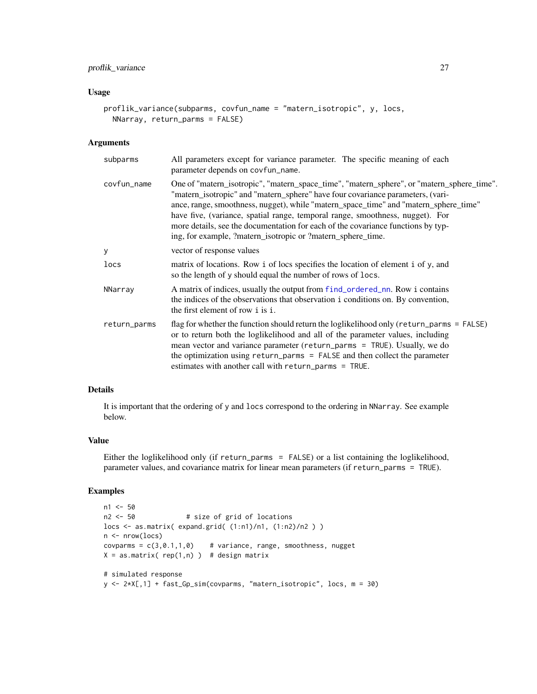#### <span id="page-26-0"></span>proflik\_variance 27

#### Usage

```
proflik_variance(subparms, covfun_name = "matern_isotropic", y, locs,
 NNarray, return_parms = FALSE)
```
#### Arguments

| subparms     | All parameters except for variance parameter. The specific meaning of each<br>parameter depends on covfun_name.                                                                                                                                                                                                                                                                                                                                                                                         |
|--------------|---------------------------------------------------------------------------------------------------------------------------------------------------------------------------------------------------------------------------------------------------------------------------------------------------------------------------------------------------------------------------------------------------------------------------------------------------------------------------------------------------------|
| covfun_name  | One of "matern_isotropic", "matern_space_time", "matern_sphere", or "matern_sphere_time".<br>"matern_isotropic" and "matern_sphere" have four covariance parameters, (vari-<br>ance, range, smoothness, nugget), while "matern_space_time" and "matern_sphere_time"<br>have five, (variance, spatial range, temporal range, smoothness, nugget). For<br>more details, see the documentation for each of the covariance functions by typ-<br>ing, for example, ?matern_isotropic or ?matern_sphere_time. |
| У            | vector of response values                                                                                                                                                                                                                                                                                                                                                                                                                                                                               |
| locs         | matrix of locations. Row i of locs specifies the location of element i of y, and<br>so the length of y should equal the number of rows of locs.                                                                                                                                                                                                                                                                                                                                                         |
| NNarray      | A matrix of indices, usually the output from find_ordered_nn. Row i contains<br>the indices of the observations that observation i conditions on. By convention,<br>the first element of row i is i.                                                                                                                                                                                                                                                                                                    |
| return_parms | flag for whether the function should return the loglikelihood only (return_parms = FALSE)<br>or to return both the loglikelihood and all of the parameter values, including<br>mean vector and variance parameter (return_parms = TRUE). Usually, we do<br>the optimization using $return\_params = FALSE$ and then collect the parameter<br>estimates with another call with return_parms = TRUE.                                                                                                      |

#### Details

It is important that the ordering of y and locs correspond to the ordering in NNarray. See example below.

#### Value

Either the loglikelihood only (if return\_parms = FALSE) or a list containing the loglikelihood, parameter values, and covariance matrix for linear mean parameters (if return\_parms = TRUE).

```
n1 <- 50
n2 <- 50 # size of grid of locations
locs <- as.matrix( expand.grid( (1:n1)/n1, (1:n2)/n2 ) )
n \leftarrow \text{now}(\text{locs})covparms = c(3, 0.1, 1, 0) # variance, range, smoothness, nugget
X = as_matrix(\nvert n) ) # design matrix
# simulated response
y <- 2*X[,1] + fast_Gp_sim(covparms, "matern_isotropic", locs, m = 30)
```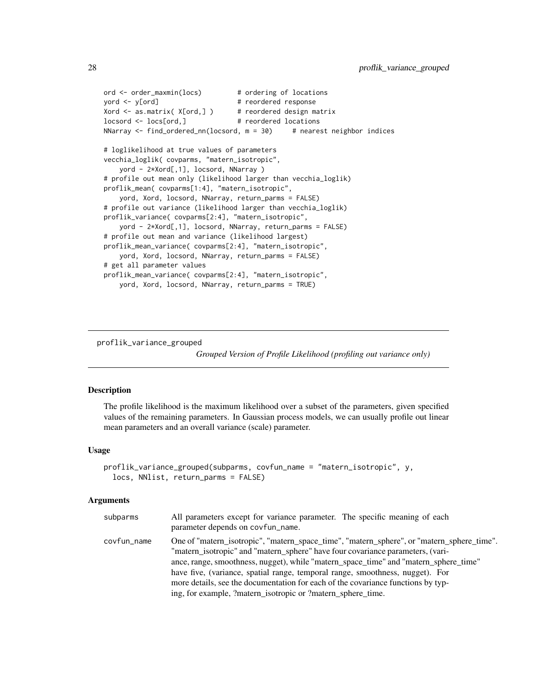```
ord <- order_maxmin(locs) # ordering of locations
yord <- y[ord] # reordered response
Xord <- as.matrix( X[ord,] ) # reordered design matrix
locsord <- locs[ord,] # reordered locations
NNarray \le find_ordered_nn(locsord, m = 30) # nearest neighbor indices
# loglikelihood at true values of parameters
vecchia_loglik( covparms, "matern_isotropic",
   yord - 2*Xord[,1], locsord, NNarray )
# profile out mean only (likelihood larger than vecchia_loglik)
proflik_mean( covparms[1:4], "matern_isotropic",
    yord, Xord, locsord, NNarray, return_parms = FALSE)
# profile out variance (likelihood larger than vecchia_loglik)
proflik_variance( covparms[2:4], "matern_isotropic",
    yord - 2*Xord[,1], locsord, NNarray, return_parms = FALSE)
# profile out mean and variance (likelihood largest)
proflik_mean_variance( covparms[2:4], "matern_isotropic",
   yord, Xord, locsord, NNarray, return_parms = FALSE)
# get all parameter values
proflik_mean_variance( covparms[2:4], "matern_isotropic",
    yord, Xord, locsord, NNarray, return_parms = TRUE)
```
proflik\_variance\_grouped

*Grouped Version of Profile Likelihood (profiling out variance only)*

#### Description

The profile likelihood is the maximum likelihood over a subset of the parameters, given specified values of the remaining parameters. In Gaussian process models, we can usually profile out linear mean parameters and an overall variance (scale) parameter.

#### Usage

```
proflik_variance_grouped(subparms, covfun_name = "matern_isotropic", y,
  locs, NNlist, return_parms = FALSE)
```
#### Arguments

| subparms    | All parameters except for variance parameter. The specific meaning of each<br>parameter depends on covfun_name.                                                                                                                                                                                                                                                                                                                                                                                         |
|-------------|---------------------------------------------------------------------------------------------------------------------------------------------------------------------------------------------------------------------------------------------------------------------------------------------------------------------------------------------------------------------------------------------------------------------------------------------------------------------------------------------------------|
| covfun_name | One of "matern_isotropic", "matern_space_time", "matern_sphere", or "matern_sphere_time".<br>"matern_isotropic" and "matern_sphere" have four covariance parameters, (vari-<br>ance, range, smoothness, nugget), while "matern_space_time" and "matern_sphere_time"<br>have five, (variance, spatial range, temporal range, smoothness, nugget). For<br>more details, see the documentation for each of the covariance functions by typ-<br>ing, for example, ?matern_isotropic or ?matern_sphere_time. |

<span id="page-27-0"></span>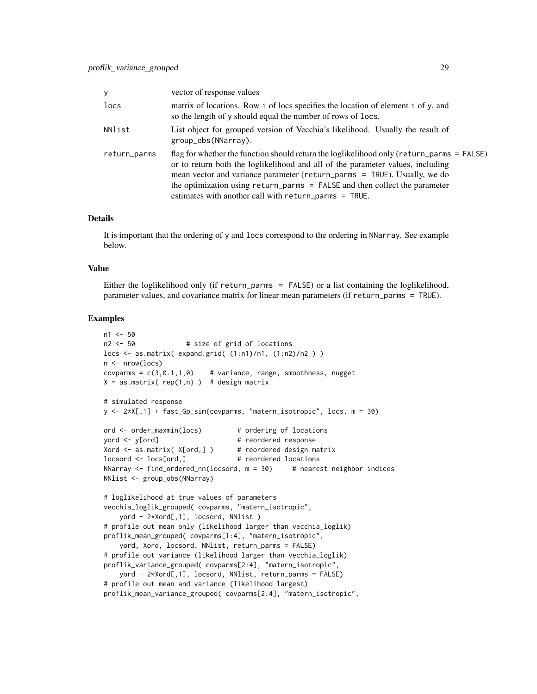| У            | vector of response values                                                                                                                                                                                                                                                                                                                                                                         |
|--------------|---------------------------------------------------------------------------------------------------------------------------------------------------------------------------------------------------------------------------------------------------------------------------------------------------------------------------------------------------------------------------------------------------|
| locs         | matrix of locations. Row i of locs specifies the location of element i of y, and<br>so the length of y should equal the number of rows of locs.                                                                                                                                                                                                                                                   |
| NNlist       | List object for grouped version of Vecchia's likelihood. Usually the result of<br>group_obs(NNarray).                                                                                                                                                                                                                                                                                             |
| return_parms | flag for whether the function should return the loglikelihood only (return_parms = $FALSE$ )<br>or to return both the loglikelihood and all of the parameter values, including<br>mean vector and variance parameter (return_parms = TRUE). Usually, we do<br>the optimization using return_parms = FALSE and then collect the parameter<br>estimates with another call with return_parms = TRUE. |

#### Details

It is important that the ordering of y and locs correspond to the ordering in NNarray. See example below.

#### Value

Either the loglikelihood only (if return\_parms = FALSE) or a list containing the loglikelihood, parameter values, and covariance matrix for linear mean parameters (if return\_parms = TRUE).

```
n1 < -50n2 <- 50 # size of grid of locations
locs <- as.matrix( expand.grid( (1:n1)/n1, (1:n2)/n2 ) )
n \leq -nrow(log)covparms = c(3, 0.1, 1, 0) # variance, range, smoothness, nugget
X = as_matrix( rep(1, n) ) # design matrix# simulated response
y <- 2*X[,1] + fast_Gp_sim(covparms, "matern_isotropic", locs, m = 30)
ord <- order_maxmin(locs) # ordering of locations
yord <- y[ord] # reordered response
Xord \leq as matrix( X[ord,] ) # reordered design matrix
locsord <- locs[ord,] # reordered locations
NNarray \le find_ordered_nn(locsord, m = 30) # nearest neighbor indices
NNlist <- group_obs(NNarray)
# loglikelihood at true values of parameters
vecchia_loglik_grouped( covparms, "matern_isotropic",
    yord - 2*Xord[,1], locsord, NNlist )
# profile out mean only (likelihood larger than vecchia_loglik)
proflik_mean_grouped( covparms[1:4], "matern_isotropic",
    yord, Xord, locsord, NNlist, return_parms = FALSE)
# profile out variance (likelihood larger than vecchia_loglik)
proflik_variance_grouped( covparms[2:4], "matern_isotropic",
    yord - 2*Xord[,1], locsord, NNlist, return_parms = FALSE)
# profile out mean and variance (likelihood largest)
proflik_mean_variance_grouped( covparms[2:4], "matern_isotropic",
```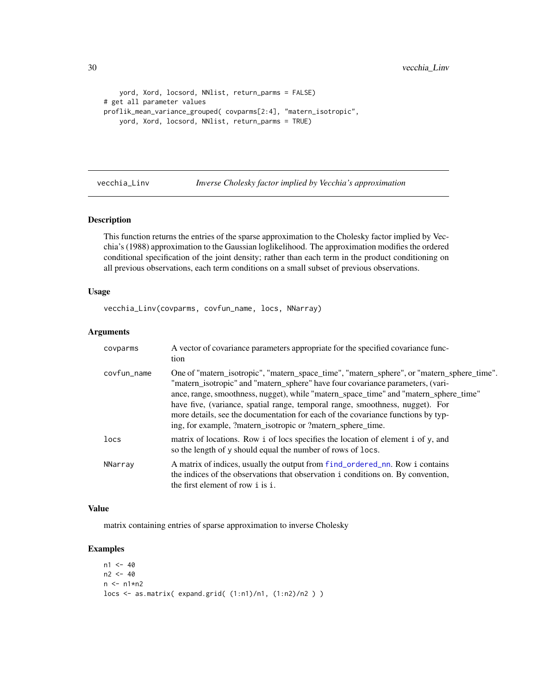```
yord, Xord, locsord, NNlist, return_parms = FALSE)
# get all parameter values
proflik_mean_variance_grouped( covparms[2:4], "matern_isotropic",
   yord, Xord, locsord, NNlist, return_parms = TRUE)
```
<span id="page-29-1"></span>

vecchia\_Linv *Inverse Cholesky factor implied by Vecchia's approximation*

#### Description

This function returns the entries of the sparse approximation to the Cholesky factor implied by Vecchia's (1988) approximation to the Gaussian loglikelihood. The approximation modifies the ordered conditional specification of the joint density; rather than each term in the product conditioning on all previous observations, each term conditions on a small subset of previous observations.

#### Usage

vecchia\_Linv(covparms, covfun\_name, locs, NNarray)

#### Arguments

| covparms    | A vector of covariance parameters appropriate for the specified covariance func-<br>tion                                                                                                                                                                                                                                                                                                                                                                                                                |
|-------------|---------------------------------------------------------------------------------------------------------------------------------------------------------------------------------------------------------------------------------------------------------------------------------------------------------------------------------------------------------------------------------------------------------------------------------------------------------------------------------------------------------|
| covfun name | One of "matern_isotropic", "matern_space_time", "matern_sphere", or "matern_sphere_time".<br>"matern_isotropic" and "matern_sphere" have four covariance parameters, (vari-<br>ance, range, smoothness, nugget), while "matern_space_time" and "matern_sphere_time"<br>have five, (variance, spatial range, temporal range, smoothness, nugget). For<br>more details, see the documentation for each of the covariance functions by typ-<br>ing, for example, ?matern_isotropic or ?matern_sphere_time. |
| locs        | matrix of locations. Row i of locs specifies the location of element i of y, and<br>so the length of y should equal the number of rows of locs.                                                                                                                                                                                                                                                                                                                                                         |
| NNarray     | A matrix of indices, usually the output from f ind_ordered_nn. Row i contains<br>the indices of the observations that observation i conditions on. By convention,<br>the first element of row i is i.                                                                                                                                                                                                                                                                                                   |

#### Value

matrix containing entries of sparse approximation to inverse Cholesky

```
n1 < -40n2 < -40n \leq -n1*n2locs <- as.matrix( expand.grid( (1:n1)/n1, (1:n2)/n2 ) )
```
<span id="page-29-0"></span>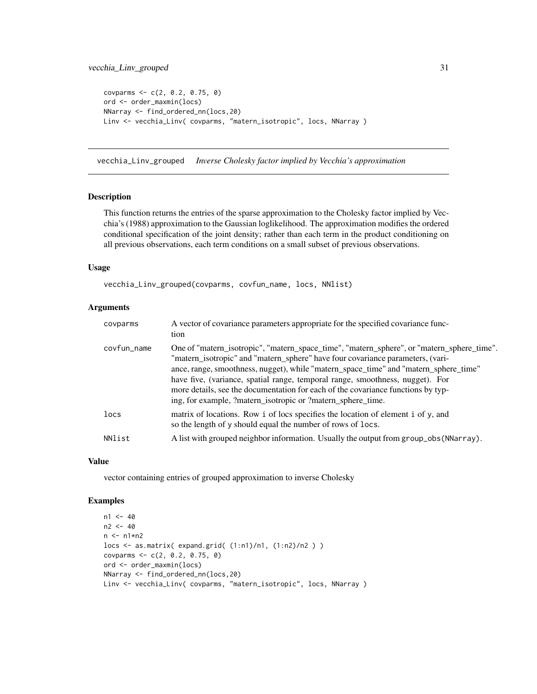```
covparms <-c(2, 0.2, 0.75, 0)ord <- order_maxmin(locs)
NNarray <- find_ordered_nn(locs,20)
Linv <- vecchia_Linv( covparms, "matern_isotropic", locs, NNarray )
```
vecchia\_Linv\_grouped *Inverse Cholesky factor implied by Vecchia's approximation*

#### Description

This function returns the entries of the sparse approximation to the Cholesky factor implied by Vecchia's (1988) approximation to the Gaussian loglikelihood. The approximation modifies the ordered conditional specification of the joint density; rather than each term in the product conditioning on all previous observations, each term conditions on a small subset of previous observations.

#### Usage

vecchia\_Linv\_grouped(covparms, covfun\_name, locs, NNlist)

#### Arguments

| covparms    | A vector of covariance parameters appropriate for the specified covariance func-<br>tion                                                                                                                                                                                                                                                                                                                                                                                                                |
|-------------|---------------------------------------------------------------------------------------------------------------------------------------------------------------------------------------------------------------------------------------------------------------------------------------------------------------------------------------------------------------------------------------------------------------------------------------------------------------------------------------------------------|
| covfun_name | One of "matern_isotropic", "matern_space_time", "matern_sphere", or "matern_sphere_time".<br>"matern_isotropic" and "matern_sphere" have four covariance parameters, (vari-<br>ance, range, smoothness, nugget), while "matern_space_time" and "matern_sphere_time"<br>have five, (variance, spatial range, temporal range, smoothness, nugget). For<br>more details, see the documentation for each of the covariance functions by typ-<br>ing, for example, ?matern_isotropic or ?matern_sphere_time. |
| locs        | matrix of locations. Row i of locs specifies the location of element i of y, and<br>so the length of y should equal the number of rows of locs.                                                                                                                                                                                                                                                                                                                                                         |
| NNlist      | A list with grouped neighbor information. Usually the output from group_obs (NNarray).                                                                                                                                                                                                                                                                                                                                                                                                                  |
|             |                                                                                                                                                                                                                                                                                                                                                                                                                                                                                                         |

#### Value

vector containing entries of grouped approximation to inverse Cholesky

```
n1 < -40n2 < -40n \leq -n1*n2locs <- as.matrix( expand.grid( (1:n1)/n1, (1:n2)/n2 ) )
covparms <- c(2, 0.2, 0.75, 0)
ord <- order_maxmin(locs)
NNarray <- find_ordered_nn(locs,20)
Linv <- vecchia_Linv( covparms, "matern_isotropic", locs, NNarray )
```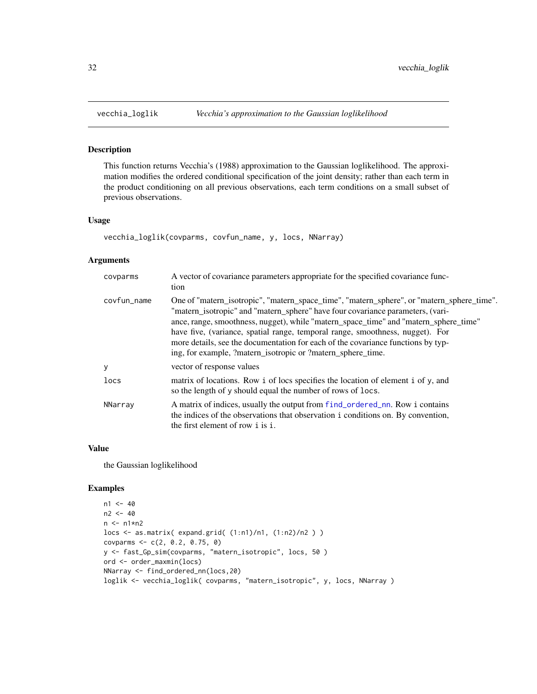<span id="page-31-0"></span>

#### Description

This function returns Vecchia's (1988) approximation to the Gaussian loglikelihood. The approximation modifies the ordered conditional specification of the joint density; rather than each term in the product conditioning on all previous observations, each term conditions on a small subset of previous observations.

#### Usage

```
vecchia_loglik(covparms, covfun_name, y, locs, NNarray)
```
#### Arguments

| covparms    | A vector of covariance parameters appropriate for the specified covariance func-<br>tion                                                                                                                                                                                                                                                                                                                                                                                                                |
|-------------|---------------------------------------------------------------------------------------------------------------------------------------------------------------------------------------------------------------------------------------------------------------------------------------------------------------------------------------------------------------------------------------------------------------------------------------------------------------------------------------------------------|
| covfun_name | One of "matern_isotropic", "matern_space_time", "matern_sphere", or "matern_sphere_time".<br>"matern_isotropic" and "matern_sphere" have four covariance parameters, (vari-<br>ance, range, smoothness, nugget), while "matern_space_time" and "matern_sphere_time"<br>have five, (variance, spatial range, temporal range, smoothness, nugget). For<br>more details, see the documentation for each of the covariance functions by typ-<br>ing, for example, ?matern_isotropic or ?matern_sphere_time. |
| y           | vector of response values                                                                                                                                                                                                                                                                                                                                                                                                                                                                               |
| locs        | matrix of locations. Row i of locs specifies the location of element i of y, and<br>so the length of y should equal the number of rows of locs.                                                                                                                                                                                                                                                                                                                                                         |
| NNarray     | A matrix of indices, usually the output from find_ordered_nn. Row i contains<br>the indices of the observations that observation i conditions on. By convention,<br>the first element of row i is i.                                                                                                                                                                                                                                                                                                    |

#### Value

the Gaussian loglikelihood

```
n1 < -40n2 < -40n \leq -n1*n2locs <- as.matrix( expand.grid( (1:n1)/n1, (1:n2)/n2 ) )
covparms <- c(2, 0.2, 0.75, 0)
y <- fast_Gp_sim(covparms, "matern_isotropic", locs, 50 )
ord <- order_maxmin(locs)
NNarray <- find_ordered_nn(locs,20)
loglik <- vecchia_loglik( covparms, "matern_isotropic", y, locs, NNarray )
```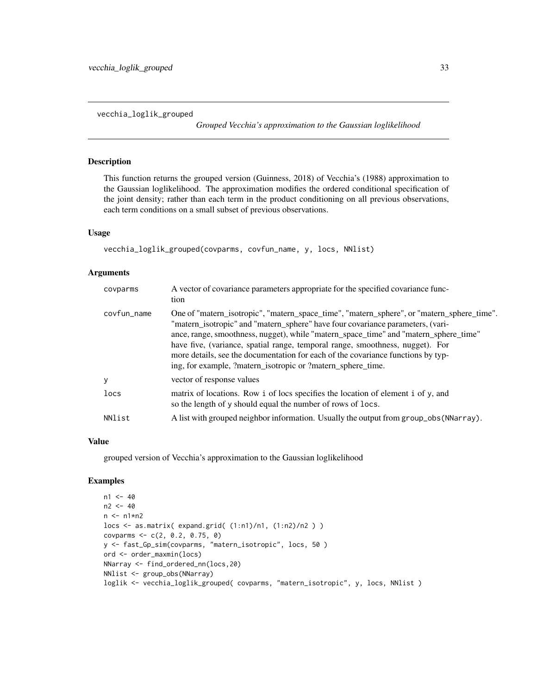<span id="page-32-0"></span>vecchia\_loglik\_grouped

*Grouped Vecchia's approximation to the Gaussian loglikelihood*

#### Description

This function returns the grouped version (Guinness, 2018) of Vecchia's (1988) approximation to the Gaussian loglikelihood. The approximation modifies the ordered conditional specification of the joint density; rather than each term in the product conditioning on all previous observations, each term conditions on a small subset of previous observations.

#### Usage

```
vecchia_loglik_grouped(covparms, covfun_name, y, locs, NNlist)
```
#### Arguments

| covparms    | A vector of covariance parameters appropriate for the specified covariance func-<br>tion                                                                                                                                                                                                                                                                                                                                                                                                                |
|-------------|---------------------------------------------------------------------------------------------------------------------------------------------------------------------------------------------------------------------------------------------------------------------------------------------------------------------------------------------------------------------------------------------------------------------------------------------------------------------------------------------------------|
| covfun_name | One of "matern_isotropic", "matern_space_time", "matern_sphere", or "matern_sphere_time".<br>"matern_isotropic" and "matern_sphere" have four covariance parameters, (vari-<br>ance, range, smoothness, nugget), while "matern_space_time" and "matern_sphere_time"<br>have five, (variance, spatial range, temporal range, smoothness, nugget). For<br>more details, see the documentation for each of the covariance functions by typ-<br>ing, for example, ?matern_isotropic or ?matern_sphere_time. |
| У           | vector of response values                                                                                                                                                                                                                                                                                                                                                                                                                                                                               |
| locs        | matrix of locations. Row i of locs specifies the location of element i of y, and<br>so the length of y should equal the number of rows of locs.                                                                                                                                                                                                                                                                                                                                                         |
| NNlist      | A list with grouped neighbor information. Usually the output from group_obs (NNarray).                                                                                                                                                                                                                                                                                                                                                                                                                  |

#### Value

grouped version of Vecchia's approximation to the Gaussian loglikelihood

```
n1 < -40n2 < -40n \leq -n1*n2locs <- as.matrix( expand.grid( (1:n1)/n1, (1:n2)/n2 ) )
covparms <- c(2, 0.2, 0.75, 0)
y <- fast_Gp_sim(covparms, "matern_isotropic", locs, 50 )
ord <- order_maxmin(locs)
NNarray <- find_ordered_nn(locs,20)
NNlist <- group_obs(NNarray)
loglik <- vecchia_loglik_grouped( covparms, "matern_isotropic", y, locs, NNlist )
```